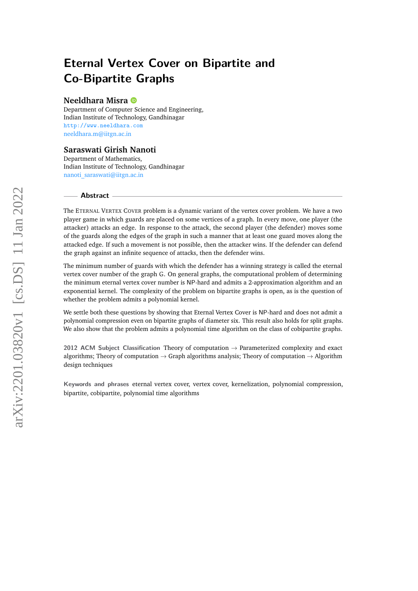## **Neeldhara Misra**

Department of Computer Science and Engineering, Indian Institute of Technology, Gandhinagar <http://www.neeldhara.com> [neeldhara.m@iitgn.ac.in](mailto:neeldhara.m@iitgn.ac.in)

# **Saraswati Girish Nanoti**

Department of Mathematics, Indian Institute of Technology, Gandhinagar nanoti saraswati@iitgn.ac.in

#### **Abstract**

The ETERNAL VERTEX COVER problem is a dynamic variant of the vertex cover problem. We have a two player game in which guards are placed on some vertices of a graph. In every move, one player (the attacker) attacks an edge. In response to the attack, the second player (the defender) moves some of the guards along the edges of the graph in such a manner that at least one guard moves along the attacked edge. If such a movement is not possible, then the attacker wins. If the defender can defend the graph against an infinite sequence of attacks, then the defender wins.

The minimum number of guards with which the defender has a winning strategy is called the eternal vertex cover number of the graph G. On general graphs, the computational problem of determining the minimum eternal vertex cover number is NP-hard and admits a 2-approximation algorithm and an exponential kernel. The complexity of the problem on bipartite graphs is open, as is the question of whether the problem admits a polynomial kernel.

We settle both these questions by showing that Eternal Vertex Cover is NP-hard and does not admit a polynomial compression even on bipartite graphs of diameter six. This result also holds for split graphs. We also show that the problem admits a polynomial time algorithm on the class of cobipartite graphs.

**2012 ACM Subject Classification** Theory of computation → Parameterized complexity and exact algorithms; Theory of computation  $\rightarrow$  Graph algorithms analysis; Theory of computation  $\rightarrow$  Algorithm design techniques

**Keywords and phrases** eternal vertex cover, vertex cover, kernelization, polynomial compression, bipartite, cobipartite, polynomial time algorithms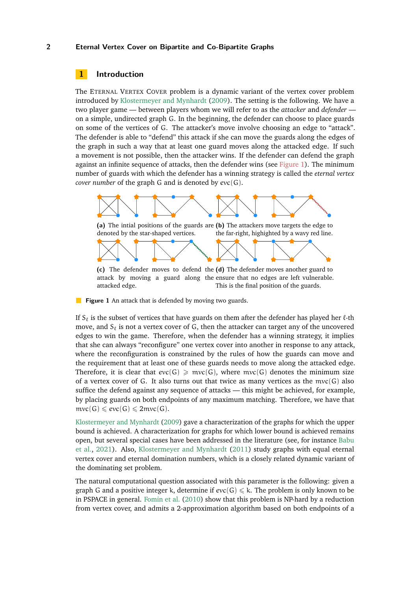## <span id="page-1-1"></span>**1 Introduction**

The ETERNAL VERTEX COVER problem is a dynamic variant of the vertex cover problem introduced by [Klostermeyer and Mynhardt](#page-37-0) [\(2009\)](#page-37-0). The setting is the following. We have a two player game — between players whom we will refer to as the *attacker* and *defender* on a simple, undirected graph G. In the beginning, the defender can choose to place guards on some of the vertices of G. The attacker's move involve choosing an edge to "attack". The defender is able to "defend" this attack if she can move the guards along the edges of the graph in such a way that at least one guard moves along the attacked edge. If such a movement is not possible, then the attacker wins. If the defender can defend the graph against an infinite sequence of attacks, then the defender wins (see [Figure 1\)](#page-1-0). The minimum number of guards with which the defender has a winning strategy is called the *eternal vertex cover number* of the graph G and is denoted by evc(G).

<span id="page-1-0"></span>

**(a)** The intial positions of the guards are **(b)** The attackers move targets the edge to denoted by the star-shaped vertices. the far-right, highighted by a wavy red line.



attack by moving a guard along the ensure that no edges are left vulnerable. attacked edge. This is the final position of the guards.

**Figure 1** An attack that is defended by moving two guards.

If  $S_\ell$  is the subset of vertices that have guards on them after the defender has played her  $\ell$ -th move, and  $S_\ell$  is not a vertex cover of G, then the attacker can target any of the uncovered edges to win the game. Therefore, when the defender has a winning strategy, it implies that she can always "reconfigure" one vertex cover into another in response to any attack, where the reconfiguration is constrained by the rules of how the guards can move and the requirement that at least one of these guards needs to move along the attacked edge. Therefore, it is clear that  $ev(G) \geq mvc(G)$ , where  $mv(G)$  denotes the minimum size of a vertex cover of G. It also turns out that twice as many vertices as the  $mvc(G)$  also suffice the defend against any sequence of attacks — this might be achieved, for example, by placing guards on both endpoints of any maximum matching. Therefore, we have that  $mvc(G) \leqslant evc(G) \leqslant 2mvc(G).$ 

[Klostermeyer and Mynhardt](#page-37-0) [\(2009\)](#page-37-0) gave a characterization of the graphs for which the upper bound is achieved. A characterization for graphs for which lower bound is achieved remains open, but several special cases have been addressed in the literature (see, for instance [Babu](#page-37-1) [et al.,](#page-37-1) [2021\)](#page-37-1). Also, [Klostermeyer and Mynhardt](#page-37-2) [\(2011\)](#page-37-2) study graphs with equal eternal vertex cover and eternal domination numbers, which is a closely related dynamic variant of the dominating set problem.

The natural computational question associated with this parameter is the following: given a graph G and a positive integer k, determine if  $evc(G) \le k$ . The problem is only known to be in PSPACE in general. [Fomin et al.](#page-37-3) [\(2010\)](#page-37-3) show that this problem is NP-hard by a reduction from vertex cover, and admits a 2-approximation algorithm based on both endpoints of a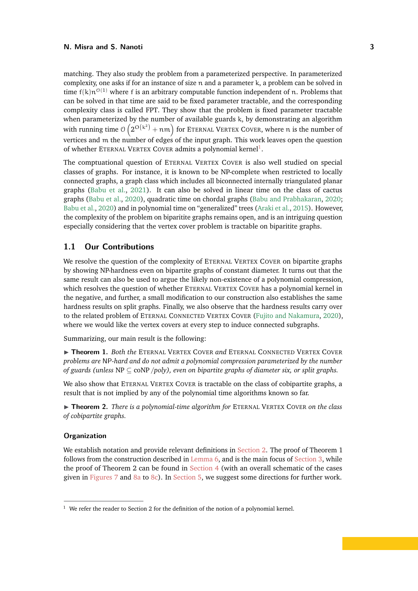<span id="page-2-1"></span>matching. They also study the problem from a parameterized perspective. In parameterized complexity, one asks if for an instance of size n and a parameter k, a problem can be solved in time  $f(k)n^{O(1)}$  where f is an arbitrary computable function independent of n. Problems that can be solved in that time are said to be fixed parameter tractable, and the corresponding complexity class is called FPT. They show that the problem is fixed parameter tractable when parameterized by the number of available guards k, by demonstrating an algorithm with running time  $\mathcal{O}\left(2^{O\left(k^2\right)} + \mathfrak{n}\mathfrak{m}\right)$  for ETERNAL VERTEX COVER, where  $\mathfrak n$  is the number of vertices and m the number of edges of the input graph. This work leaves open the question of whether ETERNAL VERTEX COVER admits a polynomial kernel<sup>[1](#page-2-0)</sup>.

The comptuational question of ETERNAL VERTEX COVER is also well studied on special classes of graphs. For instance, it is known to be NP-complete when restricted to locally connected graphs, a graph class which includes all biconnected internally triangulated planar graphs [\(Babu et al.,](#page-37-1) [2021\)](#page-37-1). It can also be solved in linear time on the class of cactus graphs [\(Babu et al.,](#page-37-4) [2020\)](#page-37-4), quadratic time on chordal graphs [\(Babu and Prabhakaran,](#page-37-5) [2020;](#page-37-5) [Babu et al.,](#page-37-4) [2020\)](#page-37-4) and in polynomial time on "generalized" trees [\(Araki et al.,](#page-37-6) [2015\)](#page-37-6). However, the complexity of the problem on biparitite graphs remains open, and is an intriguing question especially considering that the vertex cover problem is tractable on biparitite graphs.

## **1.1 Our Contributions**

We resolve the question of the complexity of ETERNAL VERTEX COVER on bipartite graphs by showing NP-hardness even on bipartite graphs of constant diameter. It turns out that the same result can also be used to argue the likely non-existence of a polynomial compression, which resolves the question of whether ETERNAL VERTEX COVER has a polynomial kernel in the negative, and further, a small modification to our construction also establishes the same hardness results on split graphs. Finally, we also observe that the hardness results carry over to the related problem of ETERNAL CONNECTED VERTEX COVER [\(Fujito and Nakamura,](#page-37-7) [2020\)](#page-37-7), where we would like the vertex covers at every step to induce connected subgraphs.

Summarizing, our main result is the following:

**Findster 1. Both the ETERNAL VERTEX COVER and ETERNAL CONNECTED VERTEX COVER** *problems are* NP*-hard and do not admit a polynomial compression parameterized by the number of guards (unless* NP ⊆ coNP /*poly), even on bipartite graphs of diameter six, or split graphs.*

We also show that ETERNAL VERTEX COVER is tractable on the class of cobipartite graphs, a result that is not implied by any of the polynomial time algorithms known so far.

▶ **Theorem 2.** *There is a polynomial-time algorithm for* ETERNAL VERTEX COVER *on the class of cobipartite graphs.*

## **Organization**

We establish notation and provide relevant definitions in [Section 2.](#page-3-0) The proof of Theorem 1 follows from the construction described in [Lemma 6,](#page-5-0) and is the main focus of [Section 3,](#page-5-1) while the proof of Theorem 2 can be found in [Section 4](#page-17-0) (with an overall schematic of the cases given in [Figures 7](#page-19-0) and [8a](#page-20-0) to [8c\)](#page-20-0). In [Section 5,](#page-36-0) we suggest some directions for further work.

<span id="page-2-0"></span><sup>&</sup>lt;sup>1</sup> We refer the reader to Section 2 for the definition of the notion of a polynomial kernel.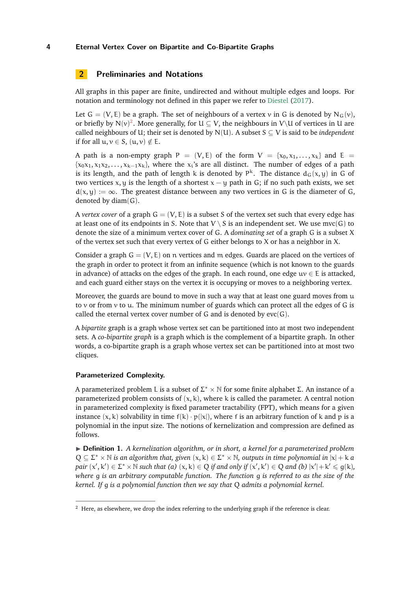# <span id="page-3-2"></span><span id="page-3-0"></span>**2 Preliminaries and Notations**

All graphs in this paper are finite, undirected and without multiple edges and loops. For notation and terminology not defined in this paper we refer to [Diestel](#page-37-8) [\(2017\)](#page-37-8).

Let  $G = (V, E)$  be a graph. The set of neighbours of a vertex v in G is denoted by N<sub>G</sub>(v), or briefly by  $N(v)^2$  $N(v)^2$ . More generally, for  $U \subseteq V$ , the neighbours in  $V \setminus U$  of vertices in U are called neighbours of U; their set is denoted by N(U). A subset  $S \subset V$  is said to be *independent* if for all  $u, v \in S$ ,  $(u, v) \notin E$ .

A path is a non-empty graph P =  $(V, E)$  of the form  $V = \{x_0, x_1, \ldots, x_k\}$  and E =  ${x_0x_1, x_1x_2, \ldots, x_{k-1}x_k}$ , where the  $x_i$ 's are all distinct. The number of edges of a path is its length, and the path of length k is denoted by  $P^k$ . The distance  $d_G(x, y)$  in G of two vertices  $x, y$  is the length of a shortest  $x - y$  path in G; if no such path exists, we set  $d(x, y) := \infty$ . The greatest distance between any two vertices in G is the diameter of G, denoted by diam $(G)$ .

A *vertex cover* of a graph  $G = (V, E)$  is a subset S of the vertex set such that every edge has at least one of its endpoints in S. Note that  $V \setminus S$  is an independent set. We use mvc(G) to denote the size of a minimum vertex cover of G. A *dominating set* of a graph G is a subset X of the vertex set such that every vertex of  $G$  either belongs to  $X$  or has a neighbor in  $X$ .

Consider a graph  $G = (V, E)$  on n vertices and m edges. Guards are placed on the vertices of the graph in order to protect it from an infinite sequence (which is not known to the guards in advance) of attacks on the edges of the graph. In each round, one edge  $uv \in E$  is attacked, and each guard either stays on the vertex it is occupying or moves to a neighboring vertex.

Moreover, the guards are bound to move in such a way that at least one guard moves from u to v or from v to u. The minimum number of guards which can protect all the edges of G is called the eternal vertex cover number of G and is denoted by  $evc(G)$ .

A *bipartite* graph is a graph whose vertex set can be partitioned into at most two independent sets. A *co-bipartite graph* is a graph which is the complement of a bipartite graph. In other words, a co-bipartite graph is a graph whose vertex set can be partitioned into at most two cliques.

## **Parameterized Complexity.**

A parameterized problem L is a subset of  $\Sigma^* \times \mathbb{N}$  for some finite alphabet  $\Sigma$ . An instance of a parameterized problem consists of  $(x, k)$ , where k is called the parameter. A central notion in parameterized complexity is fixed parameter tractability (FPT), which means for a given instance  $(x, k)$  solvability in time  $f(k) \cdot p(|x|)$ , where f is an arbitrary function of k and p is a polynomial in the input size. The notions of kernelization and compression are defined as follows.

▶ **Definition 1.** *A kernelization algorithm, or in short, a kernel for a parameterized problem*  $Q \subseteq \Sigma^* \times \mathbb{N}$  is an algorithm that, given  $(x, k) \in \Sigma^* \times \mathbb{N}$ , outputs in time polynomial in  $|x| + k$  a  $pair(x', k') \in \Sigma^* \times \mathbb{N}$  such that (a)  $(x, k) \in Q$  if and only if  $(x', k') \in Q$  and (b)  $|x'| + k' \leq g(k)$ *, where* g *is an arbitrary computable function. The function* g *is referred to as the size of the kernel. If* g *is a polynomial function then we say that* Q *admits a polynomial kernel.*

<span id="page-3-1"></span> $2$  Here, as elsewhere, we drop the index referring to the underlying graph if the reference is clear.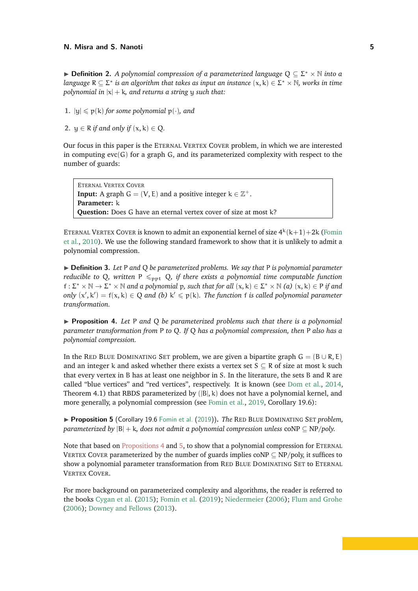<span id="page-4-2"></span>**► Definition 2.** A polynomial compression of a parameterized language  $Q ⊆ Σ<sup>*</sup> × N$  into a *language* R ⊆ Σ ∗ *is an algorithm that takes as input an instance* (x, k) ∈ Σ <sup>∗</sup> × N*, works in time polynomial in*  $|x| + k$ *, and returns a string y such that:* 

**1.**  $|y| \leq p(k)$  *for some polynomial*  $p(\cdot)$ *, and* 

2.  $y \in R$  *if and only if*  $(x, k) \in Q$ .

Our focus in this paper is the ETERNAL VERTEX COVER problem, in which we are interested in computing  $\text{evc}(G)$  for a graph G, and its parameterized complexity with respect to the number of guards:

ETERNAL VERTEX COVER **Input:** A graph  $G = (V, E)$  and a positive integer  $k \in \mathbb{Z}^+$ . **Parameter:** k **Question:** Does G have an eternal vertex cover of size at most k?

ETERNAL VERTEX COVER is known to admit an exponential kernel of size  $4^k(k+1)+2k$  [\(Fomin](#page-37-3) [et al.,](#page-37-3) [2010\)](#page-37-3). We use the following standard framework to show that it is unlikely to admit a polynomial compression.

I **Definition 3.** *Let* P *and* Q *be parameterized problems. We say that* P *is polynomial parameter reducible to* Q, written  $P \leq_{\text{ppt}} Q$ , if there exists a polynomial time computable function  $f: \Sigma^* \times \mathbb{N} \to \Sigma^* \times \mathbb{N}$  and a polynomial p, such that for all  $(x, k) \in \Sigma^* \times \mathbb{N}$  (a)  $(x, k) \in P$  if and only  $(x', k') = f(x, k) \in Q$  and (b)  $k' \leq p(k)$ . The function f is called polynomial parameter *transformation.*

<span id="page-4-0"></span>▶ **Proposition 4.** Let P and Q be parameterized problems such that there is a polynomial *parameter transformation from* P *to* Q*. If* Q *has a polynomial compression, then* P *also has a polynomial compression.*

In the RED BLUE DOMINATING SET problem, we are given a bipartite graph  $G = (B \cup R, E)$ and an integer k and asked whether there exists a vertex set  $S \subset R$  of size at most k such that every vertex in B has at least one neighbor in S. In the literature, the sets B and R are called "blue vertices" and "red vertices", respectively. It is known (see [Dom et al.,](#page-37-9) [2014,](#page-37-9) Theorem 4.1) that RBDS parameterized by (|B|, k) does not have a polynomial kernel, and more generally, a polynomial compression (see [Fomin et al.,](#page-37-10) [2019,](#page-37-10) Corollary 19.6):

<span id="page-4-1"></span>▶ **Proposition 5** (Corollary 19.6 [Fomin et al.](#page-37-10) [\(2019\)](#page-37-10)). *The* RED BLUE DOMINATING SET *problem*, *parameterized by* |B| + k*, does not admit a polynomial compression unless* coNP ⊆ NP/*poly.*

Note that based on [Propositions 4](#page-4-0) and [5,](#page-4-1) to show that a polynomial compression for ETERNAL VERTEX COVER parameterized by the number of guards implies coNP  $\subseteq$  NP/poly, it suffices to show a polynomial parameter transformation from RED BLUE DOMINATING SET to ETERNAL VERTEX COVER.

For more background on parameterized complexity and algorithms, the reader is referred to the books [Cygan et al.](#page-37-11) [\(2015\)](#page-37-11); [Fomin et al.](#page-37-10) [\(2019\)](#page-37-10); [Niedermeier](#page-37-12) [\(2006\)](#page-37-12); [Flum and Grohe](#page-37-13) [\(2006\)](#page-37-13); [Downey and Fellows](#page-37-14) [\(2013\)](#page-37-14).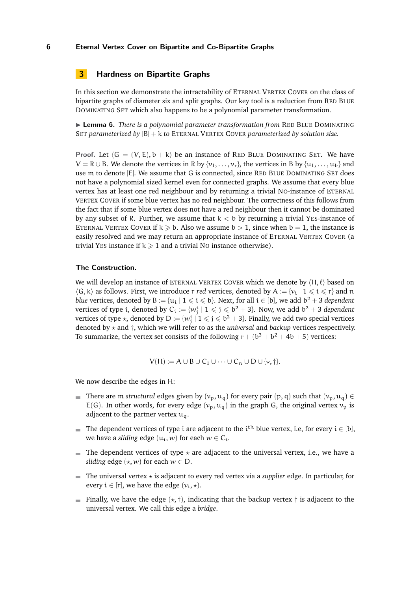# <span id="page-5-1"></span>**3 Hardness on Bipartite Graphs**

In this section we demonstrate the intractability of ETERNAL VERTEX COVER on the class of bipartite graphs of diameter six and split graphs. Our key tool is a reduction from RED BLUE DOMINATING SET which also happens to be a polynomial parameter transformation.

<span id="page-5-0"></span>**Lemma 6.** *There is a polynomial parameter transformation from RED BLUE DOMINATING* SET *parameterized by* |B| + k *to* ETERNAL VERTEX COVER *parameterized by solution size.*

**Proof.** Let  $\langle G = (V, E), b + k \rangle$  be an instance of RED BLUE DOMINATING SET. We have  $V = R \cup B$ . We denote the vertices in R by { $v_1, \ldots, v_r$ }, the vertices in B by { $u_1, \ldots, u_b$ } and use m to denote |E|. We assume that G is connected, since RED BLUE DOMINATING SET does not have a polynomial sized kernel even for connected graphs. We assume that every blue vertex has at least one red neighbour and by returning a trivial NO-instance of ETERNAL VERTEX COVER if some blue vertex has no red neighbour. The correctness of this follows from the fact that if some blue vertex does not have a red neighbour then it cannot be dominated by any subset of R. Further, we assume that  $k < b$  by returning a trivial YES-instance of ETERNAL VERTEX COVER if  $k \geqslant b$ . Also we assume  $b > 1$ , since when  $b = 1$ , the instance is easily resolved and we may return an appropriate instance of ETERNAL VERTEX COVER (a trivial YES instance if  $k \geq 1$  and a trivial NO instance otherwise).

#### **The Construction.**

We will develop an instance of ETERNAL VERTEX COVER which we denote by  $\langle H, \ell \rangle$  based on  $\langle G, k \rangle$  as follows. First, we introduce r *red* vertices, denoted by  $A := \{v_i | 1 \leq i \leq r\}$  and n *blue* vertices, denoted by  $B := \{u_i \mid 1 \leq i \leq b\}$ . Next, for all  $i \in [b]$ , we add  $b^2 + 3$  *dependent* vertices of type i, denoted by  $C_i := \{w^i_j \mid 1 \leqslant j \leqslant b^2 + 3\}$ . Now, we add  $b^2 + 3$  *dependent* vertices of type  $\star$ , denoted by D := { $w_j^i$  | 1  $\leqslant$  j  $\leqslant$  b<sup>2</sup> + 3}. Finally, we add two special vertices denoted by  $\star$  and  $\dagger$ , which we will refer to as the *universal* and *backup* vertices respectively. To summarize, the vertex set consists of the following  $r + (b^3 + b^2 + 4b + 5)$  vertices:

$$
V(H) := A \cup B \cup C_1 \cup \cdots \cup C_n \cup D \cup \{\star, \dagger\}.
$$

We now describe the edges in H:

- There are m *structural* edges given by  $(v_p, u_q)$  for every pair  $(p, q)$  such that  $(v_p, u_q) \in$ E(G). In other words, for every edge  $(v_p, u_q)$  in the graph G, the original vertex  $v_p$  is adjacent to the partner vertex  $u_a$ .
- The dependent vertices of type i are adjacent to the i<sup>th</sup> blue vertex, i.e, for every i  $\in$  [b], we have a *sliding* edge  $(u_i, w)$  for each  $w \in C_i$ .
- $\blacksquare$  The dependent vertices of type  $\star$  are adjacent to the universal vertex, i.e., we have a *sliding* edge  $(*, w)$  for each  $w \in D$ .
- $\blacksquare$  The universal vertex  $\star$  is adjacent to every red vertex via a *supplier* edge. In particular, for every  $i \in [r]$ , we have the edge  $(v_i, \star)$ .
- Finally, we have the edge  $(x, \dagger)$ , indicating that the backup vertex  $\dagger$  is adjacent to the universal vertex. We call this edge a *bridge*.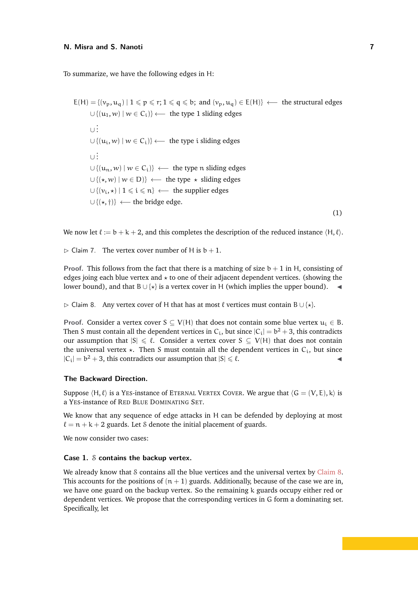To summarize, we have the following edges in H:

$$
E(H) = \{(v_p, u_q) | 1 \leq p \leq r; 1 \leq q \leq b; and (v_p, u_q) \in E(H)\} \leftarrow \text{ the structural edges}
$$
  
\n
$$
\cup \{(u_1, w) | w \in C_i\} \leftarrow \text{ the type 1 sliding edges}
$$
  
\n
$$
\cup \{ (u_i, w) | w \in C_i \} \leftarrow \text{ the type i sliding edges}
$$
  
\n
$$
\cup \{ (u_n, w) | w \in C_i \} \leftarrow \text{ the type n sliding edges}
$$
  
\n
$$
\cup \{(u_n, w) | w \in D\} \leftarrow \text{ the type } \star \text{ sliding edges}
$$
  
\n
$$
\cup \{(v_i, \star) | 1 \leq i \leq n\} \leftarrow \text{ the supplier edges}
$$
  
\n
$$
\cup \{(x, \uparrow)\} \leftarrow \text{ the bridge edge.}
$$
  
\n(1)

We now let  $\ell := b + k + 2$ , and this completes the description of the reduced instance  $\langle H, \ell \rangle$ .

 $\triangleright$  Claim 7. The vertex cover number of H is  $b + 1$ .

**Proof.** This follows from the fact that there is a matching of size  $b + 1$  in H, consisting of edges joing each blue vertex and  $\star$  to one of their adjacent dependent vertices. (showing the lower bound), and that B ∪ { $\star$ } is a vertex cover in H (which implies the upper bound).  $\blacktriangleleft$ 

<span id="page-6-0"></span> $\triangleright$  Claim 8. Any vertex cover of H that has at most  $\ell$  vertices must contain B ∪ { $\star$ }.

**Proof.** Consider a vertex cover  $S \subseteq V(H)$  that does not contain some blue vertex  $u_i \in B$ . Then S must contain all the dependent vertices in  $C_i$ , but since  $|C_i| = b^2 + 3$ , this contradicts our assumption that  $|S| \le \ell$ . Consider a vertex cover  $S \subseteq V(H)$  that does not contain the universal vertex  $\star$ . Then S must contain all the dependent vertices in  $C_i$ , but since  $|C_i| = b^2 + 3$ , this contradicts our assumption that  $|S| \le \ell$ .

### **The Backward Direction.**

Suppose  $\langle H, \ell \rangle$  is a YES-instance of ETERNAL VERTEX COVER. We argue that  $\langle G = (V, E), k \rangle$  is a YES-instance of RED BLUE DOMINATING SET.

We know that any sequence of edge attacks in H can be defended by deploying at most  $\ell = n + k + 2$  guards. Let S denote the initial placement of guards.

We now consider two cases:

## **Case 1.** S **contains the backup vertex.**

We already know that *S* contains all the blue vertices and the universal vertex by [Claim 8.](#page-6-0) This accounts for the positions of  $(n + 1)$  guards. Additionally, because of the case we are in, we have one guard on the backup vertex. So the remaining k guards occupy either red or dependent vertices. We propose that the corresponding vertices in G form a dominating set. Specifically, let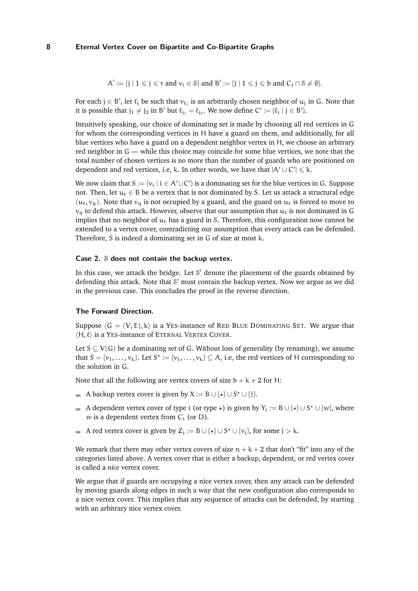$$
A':=\{j\mid 1\leqslant j\leqslant r\text{ and } \nu_i\in\mathcal{S}\}\text{ and }B':=\{j\mid 1\leqslant j\leqslant b\text{ and }C_j\cap\mathcal{S}\neq\emptyset\}.
$$

For each  $j \in B'$ , let  $\ell_j$  be such that  $v_{\ell_j}$  is an arbitrarily chosen neighbor of  $u_j$  in G. Note that it is possible that  $j_1 \neq j_2$  in B' but  $\ell_{j_1} = \ell_{j_2}$ . We now define  $C' := \{ \ell_j \mid j \in B' \}$ .

Intuitively speaking, our choice of dominating set is made by choosing all red vertices in G for whom the corresponding vertices in H have a guard on them, and additionally, for all blue vertices who have a guard on a dependent neighbor vertex in H, we choose an arbitrary red neighbor in G — while this choice may coincide for some blue vertices, we note that the total number of chosen vertices is no more than the number of guards who are positioned on dependent and red vertices, i.e, k. In other words, we have that  $|A' \cup C'| \leq k$ .

We now claim that  $S := \{v_i \mid i \in A' \cup C'\}$  is a dominating set for the blue vertices in G. Suppose not. Then, let  $u_t \in B$  be a vertex that is not dominated by S. Let us attack a structural edge  $(u_t, v_q)$ . Note that  $v_q$  is not occupied by a guard, and the guard on  $u_t$  is forced to move to  $v_q$  to defend this attack. However, observe that our assumption that  $u_t$  is not dominated in G implies that no neighbor of  $u_t$  has a guard in S. Therefore, this configuration now cannot be extended to a vertex cover, contradicting our assumption that every attack can be defended. Therefore, S is indeed a dominating set in G of size at most k.

## **Case 2.** S **does not contain the backup vertex.**

In this case, we attack the bridge. Let  $S'$  denote the placement of the guards obtained by defending this attack. Note that  $S'$  must contain the backup vertex. Now we argue as we did in the previous case. This concludes the proof in the reverse direction.

## **The Forward Direction.**

Suppose  $\langle G = (V, E), k \rangle$  is a YES-instance of RED BLUE DOMINATING SET. We argue that  $\langle H, \ell \rangle$  is a YES-instance of ETERNAL VERTEX COVER.

Let  $S \subseteq V(G)$  be a dominating set of G. Without loss of generality (by renaming), we assume that  $S = \{v_1, \ldots, v_k\}$ . Let  $S^* := \{v_1, \ldots, v_k\} \subseteq A$ , i.e, the red vertices of H corresponding to the solution in G.

Note that all the following are vertex covers of size  $b + k + 2$  for H:

- A backup vertex cover is given by  $X := B \cup \{*\} \cup S^* \cup \{*\}.$
- A dependent vertex cover of type i (or type  $\star$ ) is given by  $Y_i := B \cup {\star} \cup S^* \cup \{w\}$ , where w is a dependent vertex from  $C_i$  (or D).
- A red vertex cover is given by  $Z_j := B \cup \{ \star \} \cup S^* \cup \{ v_j \}$ , for some  $j > k$ .

We remark that there may other vertex covers of size  $n + k + 2$  that don't "fit" into any of the categories listed above. A vertex cover that is either a backup, dependent, or red vertex cover is called a *nice* vertex cover.

We argue that if guards are occupying a nice vertex cover, then any attack can be defended by moving guards along edges in such a way that the new configuration also corresponds to a nice vertex cover. This implies that any sequence of attacks can be defended, by starting with an arbitrary nice vertex cover.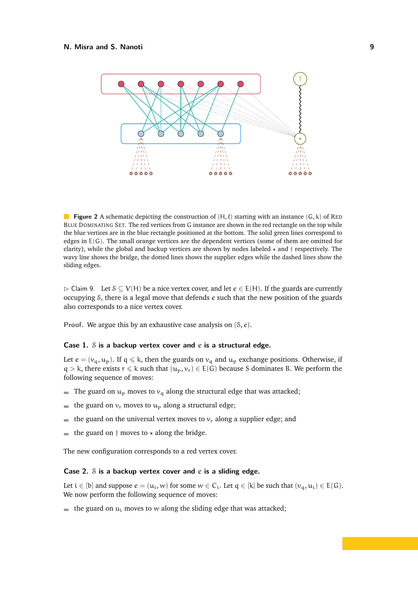

**Figure 2** A schematic depicting the construction of  $(H, \ell)$  starting with an instance  $(G, k)$  of RED BLUE DOMINATING SET. The red vertices from G instance are shown in the red rectangle on the top while the blue vertices are in the blue rectangle positioned at the bottom. The solid green lines correspond to edges in E(G). The small orange vertices are the dependent vertices (some of them are omitted for clarity), while the global and backup vertices are shown by nodes labeled  $\star$  and  $\dagger$  respectively. The wavy line shows the bridge, the dotted lines shows the supplier edges while the dashed lines show the sliding edges.

 $\triangleright$  Claim 9. Let  $S \subset V(H)$  be a nice vertex cover, and let  $e \in E(H)$ . If the guards are currently occupying S, there is a legal move that defends e such that the new position of the guards also corresponds to a nice vertex cover.

**Proof.** We argue this by an exhaustive case analysis on (S, e).

#### **Case 1.** S **is a backup vertex cover and** e **is a structural edge.**

Let  $e = (v_q, u_p)$ . If  $q \le k$ , then the guards on  $v_q$  and  $u_p$  exchange positions. Otherwise, if q > k, there exists  $r \le k$  such that  $(u_p, v_r) \in E(G)$  because S dominates B. We perform the following sequence of moves:

- The guard on  $u_p$  moves to  $v_q$  along the structural edge that was attacked;
- the guard on  $v_r$  moves to  $u_p$  along a structural edge;  $\rightarrow$
- the guard on the universal vertex moves to  $v_r$  along a supplier edge; and ÷.
- the guard on  $\dagger$  moves to  $\star$  along the bridge.

The new configuration corresponds to a red vertex cover.

### **Case 2.** S **is a backup vertex cover and** e **is a sliding edge.**

Let  $i \in [b]$  and suppose  $e = (u_i, w)$  for some  $w \in C_i$ . Let  $q \in [k]$  be such that  $(v_q, u_i) \in E(G)$ . We now perform the following sequence of moves:

 $\blacksquare$  the guard on  $u_i$  moves to w along the sliding edge that was attacked;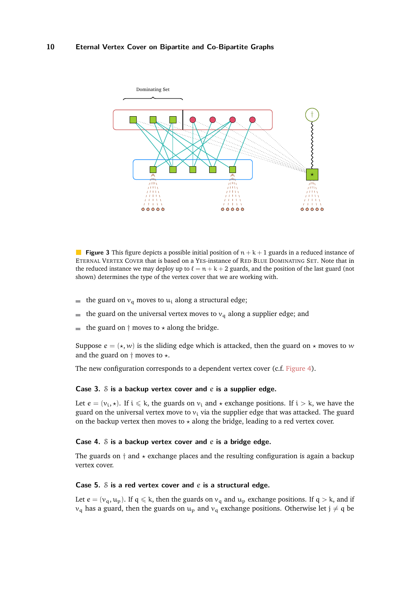

**Figure 3** This figure depicts a possible initial position of  $n + k + 1$  guards in a reduced instance of ETERNAL VERTEX COVER that is based on a YES-instance of RED BLUE DOMINATING SET. Note that in the reduced instance we may deploy up to  $\ell = n + k + 2$  guards, and the position of the last guard (not shown) determines the type of the vertex cover that we are working with.

- $\blacksquare$  the guard on  $v_q$  moves to  $u_i$  along a structural edge;
- $\blacksquare$  the guard on the universal vertex moves to  $v_q$  along a supplier edge; and
- the guard on  $\dagger$  moves to  $\star$  along the bridge.

Suppose  $e = (*, w)$  is the sliding edge which is attacked, then the guard on  $\star$  moves to w and the guard on  $\dagger$  moves to  $\star$ .

The new configuration corresponds to a dependent vertex cover (c.f. [Figure 4\)](#page-10-0).

## **Case 3.** S **is a backup vertex cover and** e **is a supplier edge.**

Let  $e = (v_i, \star)$ . If  $i \le k$ , the guards on  $v_i$  and  $\star$  exchange positions. If  $i > k$ , we have the guard on the universal vertex move to  $v_i$  via the supplier edge that was attacked. The guard on the backup vertex then moves to  $\star$  along the bridge, leading to a red vertex cover.

### **Case 4.** S **is a backup vertex cover and** e **is a bridge edge.**

The guards on  $\dagger$  and  $\star$  exchange places and the resulting configuration is again a backup vertex cover.

## **Case 5.** S **is a red vertex cover and** e **is a structural edge.**

Let  $e = (v_q, u_p)$ . If  $q \le k$ , then the guards on  $v_q$  and  $u_p$  exchange positions. If  $q > k$ , and if  $v_q$  has a guard, then the guards on  $u_p$  and  $v_q$  exchange positions. Otherwise let  $j \neq q$  be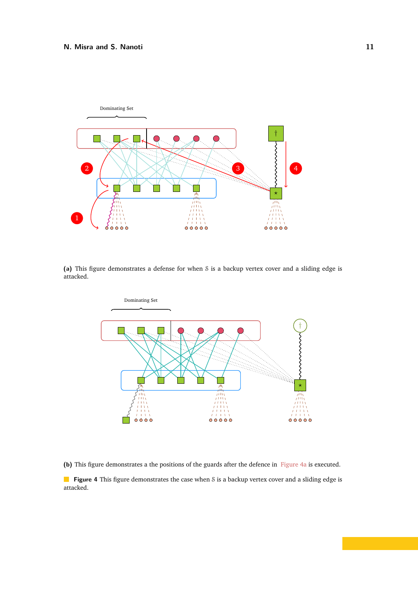<span id="page-10-0"></span>

**(a)** This figure demonstrates a defense for when S is a backup vertex cover and a sliding edge is attacked.



**(b)** This figure demonstrates a the positions of the guards after the defence in [Figure 4a](#page-10-0) is executed.

**Figure 4** This figure demonstrates the case when *S* is a backup vertex cover and a sliding edge is attacked.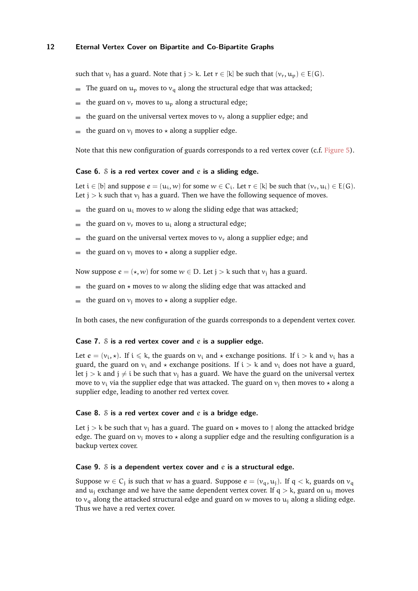such that  $v_i$  has a guard. Note that  $j > k$ . Let  $r \in [k]$  be such that  $(v_r, u_p) \in E(G)$ .

- The guard on  $u_p$  moves to  $v_q$  along the structural edge that was attacked;
- $\blacksquare$  the guard on  $v_r$  moves to  $u_p$  along a structural edge;
- $\blacksquare$  the guard on the universal vertex moves to  $v_r$  along a supplier edge; and
- the guard on  $v_i$  moves to  $\star$  along a supplier edge.

Note that this new configuration of guards corresponds to a red vertex cover (c.f. [Figure 5\)](#page-12-0).

#### **Case 6.** S **is a red vertex cover and** e **is a sliding edge.**

Let  $i \in [b]$  and suppose  $e = (u_i, w)$  for some  $w \in C_i$ . Let  $r \in [k]$  be such that  $(v_r, u_i) \in E(G)$ . Let  $j > k$  such that  $v_j$  has a guard. Then we have the following sequence of moves.

- $\blacksquare$  the guard on  $u_i$  moves to w along the sliding edge that was attacked;
- the guard on  $v_r$  moves to  $u_i$  along a structural edge;
- $\blacksquare$  the guard on the universal vertex moves to  $v_r$  along a supplier edge; and
- the guard on  $v_i$  moves to  $\star$  along a supplier edge.

Now suppose  $e = (*, w)$  for some  $w \in D$ . Let  $j > k$  such that  $v_j$  has a guard.

- $\equiv$  the guard on  $\star$  moves to w along the sliding edge that was attacked and
- $\blacksquare$  the guard on  $v_i$  moves to  $\star$  along a supplier edge.

In both cases, the new configuration of the guards corresponds to a dependent vertex cover.

## **Case 7.** S **is a red vertex cover and** e **is a supplier edge.**

Let  $e = (v_i, \star)$ . If  $i \le k$ , the guards on  $v_i$  and  $\star$  exchange positions. If  $i > k$  and  $v_i$  has a guard, the guard on  $v_i$  and  $\star$  exchange positions. If  $i > k$  and  $v_i$  does not have a guard, let  $j > k$  and  $j \neq i$  be such that  $v_j$  has a guard. We have the guard on the universal vertex move to  $v_i$  via the supplier edge that was attacked. The guard on  $v_i$  then moves to  $\star$  along a supplier edge, leading to another red vertex cover.

#### **Case 8.** S **is a red vertex cover and** e **is a bridge edge.**

Let j > k be such that  $v_i$  has a guard. The guard on  $\star$  moves to  $\dagger$  along the attacked bridge edge. The guard on  $v_i$  moves to  $\star$  along a supplier edge and the resulting configuration is a backup vertex cover.

## **Case 9.** S **is a dependent vertex cover and** e **is a structural edge.**

Suppose  $w \in C_i$  is such that w has a guard. Suppose  $e = (v_a, u_i)$ . If  $q < k$ , guards on  $v_q$ and  $u_i$  exchange and we have the same dependent vertex cover. If  $q > k$ , guard on  $u_i$  moves to  $v_q$  along the attacked structural edge and guard on w moves to  $u_i$  along a sliding edge. Thus we have a red vertex cover.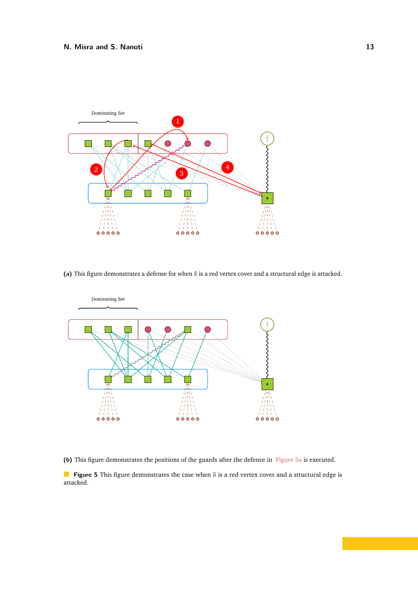<span id="page-12-0"></span>

**(a)** This figure demonstrates a defense for when S is a red vertex cover and a structural edge is attacked.



**(b)** This figure demonstrates the positions of the guards after the defence in [Figure 5a](#page-12-0) is executed.

**Figure 5** This figure demonstrates the case when *S* is a red vertex cover and a structural edge is attacked.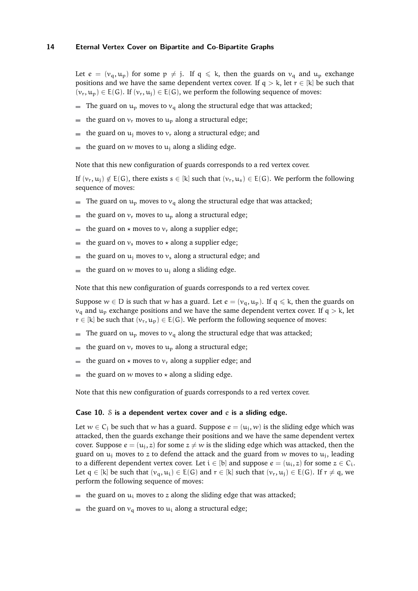Let  $e = (v_q, u_p)$  for some  $p \neq j$ . If  $q \leq k$ , then the guards on  $v_q$  and  $u_p$  exchange positions and we have the same dependent vertex cover. If  $q > k$ , let  $r \in [k]$  be such that  $(v_r, u_p) \in E(G)$ . If  $(v_r, u_i) \in E(G)$ , we perform the following sequence of moves:

- The guard on  $u_p$  moves to  $v_q$  along the structural edge that was attacked;
- $\blacksquare$  the guard on  $v_r$  moves to  $u_p$  along a structural edge;
- $\blacksquare$  the guard on  $u_i$  moves to  $v_r$  along a structural edge; and
- $\blacksquare$  the guard on w moves to  $u_i$  along a sliding edge.

Note that this new configuration of guards corresponds to a red vertex cover.

If  $(v_r, u_j) \notin E(G)$ , there exists  $s \in [k]$  such that  $(v_r, u_s) \in E(G)$ . We perform the following sequence of moves:

- The guard on  $u_p$  moves to  $v_q$  along the structural edge that was attacked;
- $\blacksquare$  the guard on  $v_r$  moves to  $u_p$  along a structural edge;
- $\blacksquare$  the guard on  $\star$  moves to  $v_r$  along a supplier edge;
- the guard on  $v_s$  moves to  $\star$  along a supplier edge;
- $\blacksquare$  the guard on  $u_i$  moves to  $v_s$  along a structural edge; and
- the guard on w moves to  $u_i$  along a sliding edge.

Note that this new configuration of guards corresponds to a red vertex cover.

Suppose  $w \in D$  is such that w has a guard. Let  $e = (v_q, u_p)$ . If  $q \le k$ , then the guards on  $v_q$  and  $u_p$  exchange positions and we have the same dependent vertex cover. If  $q > k$ , let  $r \in [k]$  be such that  $(v_r, u_p) \in E(G)$ . We perform the following sequence of moves:

- The guard on  $u_p$  moves to  $v_q$  along the structural edge that was attacked;
- $\blacksquare$  the guard on  $v_r$  moves to  $u_p$  along a structural edge;
- $\blacksquare$  the guard on  $\star$  moves to  $v_r$  along a supplier edge; and
- $\blacksquare$  the guard on w moves to  $\star$  along a sliding edge.

Note that this new configuration of guards corresponds to a red vertex cover.

#### **Case 10.** S **is a dependent vertex cover and** e **is a sliding edge.**

Let  $w \in C_i$  be such that w has a guard. Suppose  $e = (u_i, w)$  is the sliding edge which was attacked, then the guards exchange their positions and we have the same dependent vertex cover. Suppose  $e = (u_i, z)$  for some  $z \neq w$  is the sliding edge which was attacked, then the guard on  $u_i$  moves to z to defend the attack and the guard from w moves to  $u_i$ , leading to a different dependent vertex cover. Let  $i \in [b]$  and suppose  $e = (u_i, z)$  for some  $z \in C_i$ . Let  $q \in [k]$  be such that  $(v_q, u_i) \in E(G)$  and  $r \in [k]$  such that  $(v_r, u_j) \in E(G)$ . If  $r \neq q$ , we perform the following sequence of moves:

- $\blacksquare$  the guard on  $u_i$  moves to z along the sliding edge that was attacked;
- $\blacksquare$  the guard on  $v_q$  moves to  $u_i$  along a structural edge;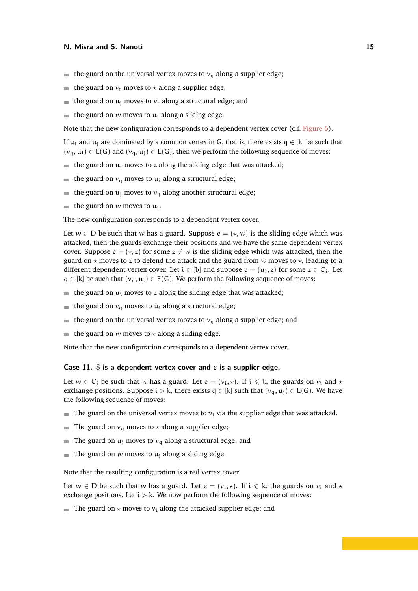- the guard on the universal vertex moves to  $v_q$  along a supplier edge;
- the guard on  $v_r$  moves to  $\star$  along a supplier edge; ÷
- the guard on  $u_i$  moves to  $v_r$  along a structural edge; and
- $\blacksquare$  the guard on w moves to  $u_i$  along a sliding edge.

Note that the new configuration corresponds to a dependent vertex cover (c.f. [Figure 6\)](#page-15-0).

If  $u_i$  and  $u_j$  are dominated by a common vertex in G, that is, there exists  $q \in [k]$  be such that  $(v_q, u_i) \in E(G)$  and  $(v_q, u_i) \in E(G)$ , then we perform the following sequence of moves:

- $\blacksquare$  the guard on  $u_i$  moves to z along the sliding edge that was attacked;
- the guard on  $v_q$  moves to  $u_i$  along a structural edge;
- the guard on  $u_i$  moves to  $v_q$  along another structural edge;
- $\blacksquare$  the guard on w moves to  $u_i$ .

The new configuration corresponds to a dependent vertex cover.

Let  $w \in D$  be such that w has a guard. Suppose  $e = (\star, w)$  is the sliding edge which was attacked, then the guards exchange their positions and we have the same dependent vertex cover. Suppose  $e = (\star, z)$  for some  $z \neq w$  is the sliding edge which was attacked, then the guard on  $\star$  moves to z to defend the attack and the guard from w moves to  $\star$ , leading to a different dependent vertex cover. Let  $i \in [b]$  and suppose  $e = (u_i, z)$  for some  $z \in C_i$ . Let  $q \in [k]$  be such that  $(v_q, u_i) \in E(G)$ . We perform the following sequence of moves:

- $\blacksquare$  the guard on  $u_i$  moves to z along the sliding edge that was attacked;
- the guard on  $v_q$  moves to  $u_i$  along a structural edge;
- the guard on the universal vertex moves to  $v_q$  along a supplier edge; and
- $\blacksquare$  the guard on w moves to  $\star$  along a sliding edge.

Note that the new configuration corresponds to a dependent vertex cover.

#### **Case 11.** S **is a dependent vertex cover and** e **is a supplier edge.**

Let  $w \in C_i$  be such that w has a guard. Let  $e = (v_i, \star)$ . If  $i \le k$ , the guards on  $v_i$  and  $\star$ exchange positions. Suppose  $i > k$ , there exists  $q \in [k]$  such that  $(v_q, u_i) \in E(G)$ . We have the following sequence of moves:

- The guard on the universal vertex moves to  $v_i$  via the supplier edge that was attacked.
- The guard on  $v_q$  moves to  $\star$  along a supplier edge;
- The guard on  $u_j$  moves to  $v_q$  along a structural edge; and
- $\blacksquare$  The guard on w moves to  $u_i$  along a sliding edge.

Note that the resulting configuration is a red vertex cover.

Let  $w \in D$  be such that w has a guard. Let  $e = (v_i, \star)$ . If  $i \le k$ , the guards on  $v_i$  and  $\star$ exchange positions. Let  $i > k$ . We now perform the following sequence of moves:

The guard on  $\star$  moves to  $v_i$  along the attacked supplier edge; and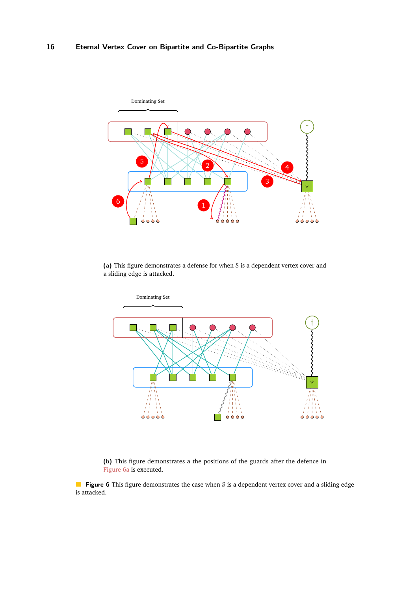<span id="page-15-0"></span>

**(a)** This figure demonstrates a defense for when S is a dependent vertex cover and a sliding edge is attacked.



**(b)** This figure demonstrates a the positions of the guards after the defence in [Figure 6a](#page-15-0) is executed.

**Figure 6** This figure demonstrates the case when S is a dependent vertex cover and a sliding edge is attacked.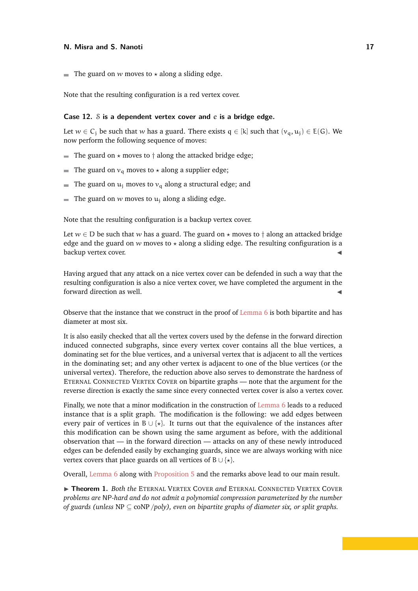$\blacksquare$  The guard on w moves to  $\star$  along a sliding edge.

Note that the resulting configuration is a red vertex cover.

#### **Case 12.** S **is a dependent vertex cover and** e **is a bridge edge.**

Let  $w \in C_i$  be such that w has a guard. There exists  $q \in [k]$  such that  $(v_q, u_i) \in E(G)$ . We now perform the following sequence of moves:

- $\blacksquare$  The guard on  $\star$  moves to  $\dagger$  along the attacked bridge edge;
- The guard on  $v_q$  moves to  $\star$  along a supplier edge;
- The guard on  $u_j$  moves to  $v_q$  along a structural edge; and  $\blacksquare$
- $\blacksquare$  The guard on w moves to  $u_i$  along a sliding edge.

Note that the resulting configuration is a backup vertex cover.

Let  $w \in D$  be such that w has a guard. The guard on  $\star$  moves to  $\dagger$  along an attacked bridge edge and the guard on w moves to  $\star$  along a sliding edge. The resulting configuration is a backup vertex cover.

Having argued that any attack on a nice vertex cover can be defended in such a way that the resulting configuration is also a nice vertex cover, we have completed the argument in the forward direction as well.

Observe that the instance that we construct in the proof of [Lemma 6](#page-5-0) is both bipartite and has diameter at most six.

It is also easily checked that all the vertex covers used by the defense in the forward direction induced connected subgraphs, since every vertex cover contains all the blue vertices, a dominating set for the blue vertices, and a universal vertex that is adjacent to all the vertices in the dominating set; and any other vertex is adjacent to one of the blue vertices (or the universal vertex). Therefore, the reduction above also serves to demonstrate the hardness of ETERNAL CONNECTED VERTEX COVER on bipartite graphs — note that the argument for the reverse direction is exactly the same since every connected vertex cover is also a vertex cover.

Finally, we note that a minor modification in the construction of [Lemma 6](#page-5-0) leads to a reduced instance that is a split graph. The modification is the following: we add edges between every pair of vertices in B ∪ { $\star$ }. It turns out that the equivalence of the instances after this modification can be shown using the same argument as before, with the additional observation that — in the forward direction — attacks on any of these newly introduced edges can be defended easily by exchanging guards, since we are always working with nice vertex covers that place guards on all vertices of B ∪  $\{ \star \}$ .

Overall, [Lemma 6](#page-5-0) along with [Proposition 5](#page-4-1) and the remarks above lead to our main result.

**FINDUCER 1. Both the ETERNAL VERTEX COVER and ETERNAL CONNECTED VERTEX COVER** *problems are* NP*-hard and do not admit a polynomial compression parameterized by the number of guards (unless* NP ⊆ coNP /*poly), even on bipartite graphs of diameter six, or split graphs.*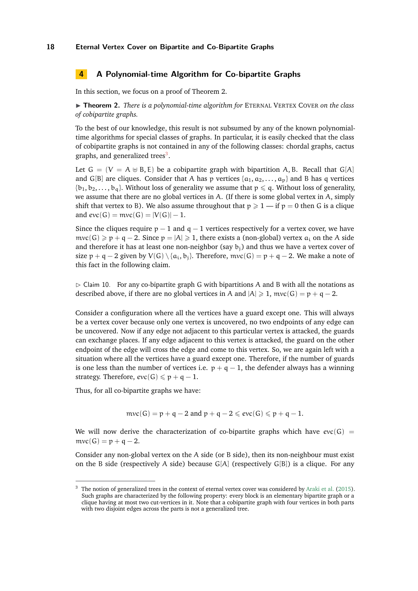# <span id="page-17-3"></span><span id="page-17-0"></span>**4 A Polynomial-time Algorithm for Co-bipartite Graphs**

In this section, we focus on a proof of Theorem 2.

▶ **Theorem 2.** *There is a polynomial-time algorithm for ETERNAL VERTEX COVER on the class of cobipartite graphs.*

To the best of our knowledge, this result is not subsumed by any of the known polynomialtime algorithms for special classes of graphs. In particular, it is easily checked that the class of cobipartite graphs is not contained in any of the following classes: chordal graphs, cactus graphs, and generalized trees<sup>[3](#page-17-1)</sup>.

Let  $G = (V = A \oplus B, E)$  be a cobipartite graph with bipartition A, B. Recall that  $G[A]$ and G[B] are cliques. Consider that A has p vertices  $\{a_1, a_2, \ldots, a_p\}$  and B has q vertices  ${b_1, b_2, \ldots, b_q}$ . Without loss of generality we assume that  $p \leq q$ . Without loss of generality, we assume that there are no global vertices in A. (If there is some global vertex in  $\overline{A}$ , simply shift that vertex to B). We also assume throughout that  $p \ge 1$  — if  $p = 0$  then G is a clique and  $\text{evc}(G) = \text{mvc}(G) = |V(G)| - 1.$ 

Since the cliques require  $p - 1$  and  $q - 1$  vertices respectively for a vertex cover, we have  $mvc(G) \geqslant p + q - 2$ . Since  $p = |A| \geqslant 1$ , there exists a (non-global) vertex  $a_i$  on the A side and therefore it has at least one non-neighbor (say  $b_i$ ) and thus we have a vertex cover of size  $p + q - 2$  given by  $V(G) \setminus \{a_i, b_i\}$ . Therefore,  $mvc(G) = p + q - 2$ . We make a note of this fact in the following claim.

<span id="page-17-2"></span> $\triangleright$  Claim 10. For any co-bipartite graph G with bipartitions A and B with all the notations as described above, if there are no global vertices in A and  $|A| \ge 1$ ,  $mvc(G) = p + q - 2$ .

Consider a configuration where all the vertices have a guard except one. This will always be a vertex cover because only one vertex is uncovered, no two endpoints of any edge can be uncovered. Now if any edge not adjacent to this particular vertex is attacked, the guards can exchange places. If any edge adjacent to this vertex is attacked, the guard on the other endpoint of the edge will cross the edge and come to this vertex. So, we are again left with a situation where all the vertices have a guard except one. Therefore, if the number of guards is one less than the number of vertices i.e.  $p + q - 1$ , the defender always has a winning strategy. Therefore,  $evc(G) \leq p + q - 1$ .

Thus, for all co-bipartite graphs we have:

$$
mvc(G) = p + q - 2
$$
 and 
$$
p + q - 2 \leqslant evc(G) \leqslant p + q - 1.
$$

We will now derive the characterization of co-bipartite graphs which have  $evc(G)$  =  $mvc(G) = p + q - 2.$ 

Consider any non-global vertex on the A side (or B side), then its non-neighbour must exist on the B side (respectively A side) because  $G[A]$  (respectively  $G[B]$ ) is a clique. For any

<span id="page-17-1"></span><sup>3</sup> The notion of generalized trees in the context of eternal vertex cover was considered by [Araki et al.](#page-37-6) [\(2015\)](#page-37-6). Such graphs are characterized by the following property: every block is an elementary bipartite graph or a clique having at most two cut-vertices in it. Note that a cobipartite graph with four vertices in both parts with two disjoint edges across the parts is not a generalized tree.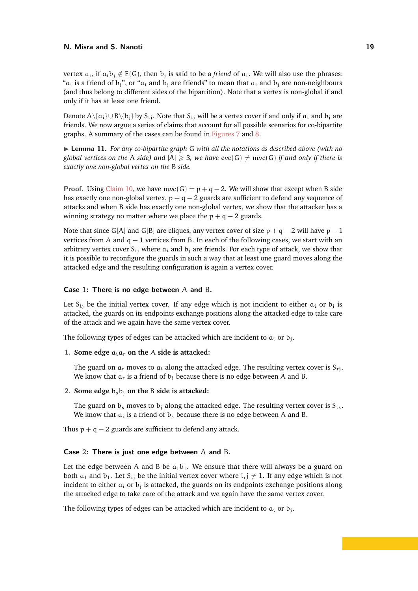vertex  $a_i$ , if  $a_i b_i \notin E(G)$ , then  $b_i$  is said to be a *friend* of  $a_i$ . We will also use the phrases: "a<sub>i</sub> is a friend of b<sub>i</sub>", or "a<sub>i</sub> and b<sub>i</sub> are friends" to mean that  $a_i$  and b<sub>i</sub> are non-neighbours (and thus belong to different sides of the bipartition). Note that a vertex is non-global if and only if it has at least one friend.

Denote A $\{a_i\}$  ∪ B $\{b_j\}$  by  $S_{ij}$ . Note that  $S_{ij}$  will be a vertex cover if and only if  $a_i$  and  $b_j$  are friends. We now argue a series of claims that account for all possible scenarios for co-bipartite graphs. A summary of the cases can be found in [Figures 7](#page-19-0) and [8.](#page-20-0)

<span id="page-18-0"></span>▶ Lemma 11. *For any co-bipartite graph* G with all the notations as described above (with no *global vertices on the* A *side*) and  $|A| \ge 3$ *, we have*  $evc(G) \neq mvc(G)$  *if and only if there is exactly one non-global vertex on the* B *side.*

**Proof.** Using [Claim 10,](#page-17-2) we have  $mvc(G) = p + q - 2$ . We will show that except when B side has exactly one non-global vertex,  $p + q - 2$  guards are sufficient to defend any sequence of attacks and when B side has exactly one non-global vertex, we show that the attacker has a winning strategy no matter where we place the  $p + q - 2$  guards.

Note that since G[A] and G[B] are cliques, any vertex cover of size  $p + q - 2$  will have  $p - 1$ vertices from A and  $q - 1$  vertices from B. In each of the following cases, we start with an arbitrary vertex cover  $S_{ij}$  where  $a_i$  and  $b_j$  are friends. For each type of attack, we show that it is possible to reconfigure the guards in such a way that at least one guard moves along the attacked edge and the resulting configuration is again a vertex cover.

## **Case** 1**: There is no edge between** A **and** B**.**

Let  $S_{i,j}$  be the initial vertex cover. If any edge which is not incident to either  $a_i$  or  $b_j$  is attacked, the guards on its endpoints exchange positions along the attacked edge to take care of the attack and we again have the same vertex cover.

The following types of edges can be attacked which are incident to  $a_i$  or  $b_i$ .

#### **1. Some edge**  $a_i a_r$  **on the** A **side is attacked:**

The guard on  $a_r$  moves to  $a_i$  along the attacked edge. The resulting vertex cover is  $S_{ri}$ . We know that  $a_r$  is a friend of  $b_i$  because there is no edge between A and B.

## 2. Some edge  $b_s b_i$  on the B side is attacked:

The guard on  $b_s$  moves to  $b_i$  along the attacked edge. The resulting vertex cover is  $S_{is}$ . We know that  $a_i$  is a friend of  $b_s$  because there is no edge between A and B.

Thus  $p + q - 2$  guards are sufficient to defend any attack.

#### **Case** 2**: There is just one edge between** A **and** B**.**

Let the edge between A and B be  $a_1b_1$ . We ensure that there will always be a guard on both  $a_1$  and  $b_1$ . Let  $S_{ij}$  be the initial vertex cover where i,  $j \neq 1$ . If any edge which is not incident to either  $a_i$  or  $b_j$  is attacked, the guards on its endpoints exchange positions along the attacked edge to take care of the attack and we again have the same vertex cover.

The following types of edges can be attacked which are incident to  $a_i$  or  $b_j$ .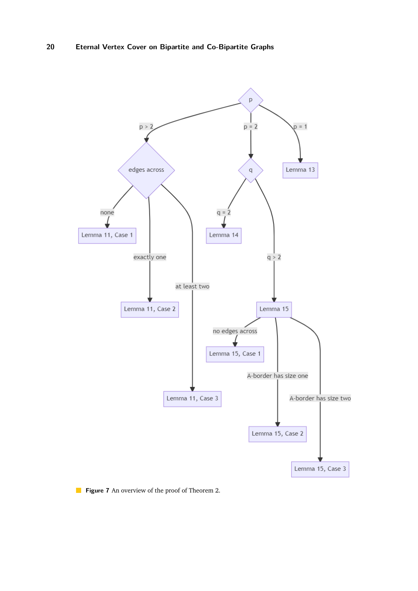<span id="page-19-0"></span>

**Figure 7** An overview of the proof of Theorem 2.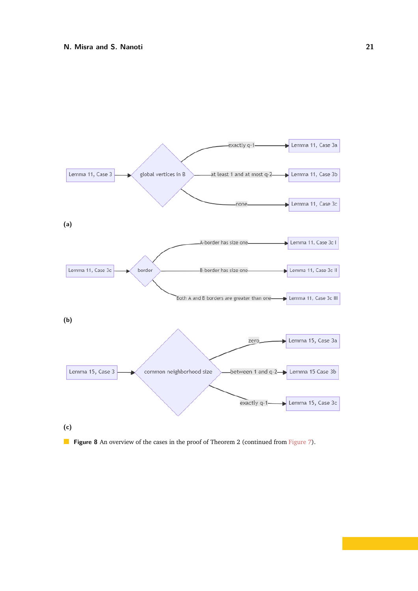<span id="page-20-0"></span>

**Figure 8** An overview of the cases in the proof of Theorem 2 (continued from [Figure 7\)](#page-19-0).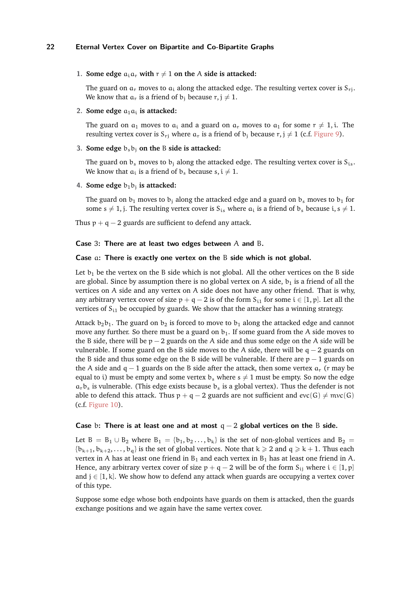#### **1. Some edge**  $a_i a_r$  **with**  $r \neq 1$  **on the** A **side is attacked:**

The guard on  $a_r$  moves to  $a_i$  along the attacked edge. The resulting vertex cover is  $S_{rj}$ . We know that  $a_r$  is a friend of  $b_i$  because  $r, j \neq 1$ .

#### 2. **Some edge**  $a_1a_i$  is attacked:

The guard on  $a_1$  moves to  $a_i$  and a guard on  $a_r$  moves to  $a_1$  for some  $r \neq 1$ , i. The resulting vertex cover is  $S_{ri}$  where  $a_r$  is a friend of  $b_i$  because r,  $j \neq 1$  (c.f. [Figure 9\)](#page-22-0).

#### **3. Some edge**  $b_s b_i$  **on the** B **side** is attacked:

The guard on  $b_s$  moves to  $b_i$  along the attacked edge. The resulting vertex cover is  $S_{is}$ . We know that  $a_i$  is a friend of  $b_s$  because  $s, i \neq 1$ .

#### **4. Some edge**  $b_1b_1$  **is attacked:**

The guard on  $b_1$  moves to  $b_j$  along the attacked edge and a guard on  $b_s$  moves to  $b_1$  for some  $s \neq 1$ , j. The resulting vertex cover is  $S_{is}$  where  $a_i$  is a friend of  $b_s$  because i,  $s \neq 1$ .

Thus  $p + q - 2$  guards are sufficient to defend any attack.

#### **Case** 3**: There are at least two edges between** A **and** B**.**

## **Case** a**: There is exactly one vertex on the** B **side which is not global.**

Let  $b_1$  be the vertex on the B side which is not global. All the other vertices on the B side are global. Since by assumption there is no global vertex on A side,  $b_1$  is a friend of all the vertices on A side and any vertex on A side does not have any other friend. That is why, any arbitrary vertex cover of size  $p + q - 2$  is of the form  $S_{i1}$  for some  $i \in [1, p]$ . Let all the vertices of  $S_{i1}$  be occupied by guards. We show that the attacker has a winning strategy.

Attack  $b_2b_1$ . The guard on  $b_2$  is forced to move to  $b_1$  along the attacked edge and cannot move any further. So there must be a guard on  $b_1$ . If some guard from the A side moves to the B side, there will be  $p - 2$  guards on the A side and thus some edge on the A side will be vulnerable. If some guard on the B side moves to the A side, there will be  $q - 2$  guards on the B side and thus some edge on the B side will be vulnerable. If there are  $p - 1$  guards on the A side and  $q - 1$  guards on the B side after the attack, then some vertex  $a_r$  (r may be equal to i) must be empty and some vertex  $b_s$  where  $s \neq 1$  must be empty. So now the edge  $a<sub>r</sub>b<sub>s</sub>$  is vulnerable. (This edge exists because  $b<sub>s</sub>$  is a global vertex). Thus the defender is not able to defend this attack. Thus  $p + q - 2$  guards are not sufficient and  $evc(G) \neq mvc(G)$ (c.f. [Figure 10\)](#page-23-0).

## **Case** b**: There is at least one and at most** q − 2 **global vertices on the** B **side.**

Let B =  $B_1 \cup B_2$  where  $B_1 = \{b_1, b_2, \ldots, b_k\}$  is the set of non-global vertices and  $B_2$  =  ${b_{k+1}, b_{k+2}, \ldots, b_q}$  is the set of global vertices. Note that  $k \geq 2$  and  $q \geq k+1$ . Thus each vertex in A has at least one friend in  $B_1$  and each vertex in  $B_1$  has at least one friend in A. Hence, any arbitrary vertex cover of size  $p + q - 2$  will be of the form  $S_{i,j}$  where  $i \in [1, p]$ and  $j \in [1, k]$ . We show how to defend any attack when guards are occupying a vertex cover of this type.

Suppose some edge whose both endpoints have guards on them is attacked, then the guards exchange positions and we again have the same vertex cover.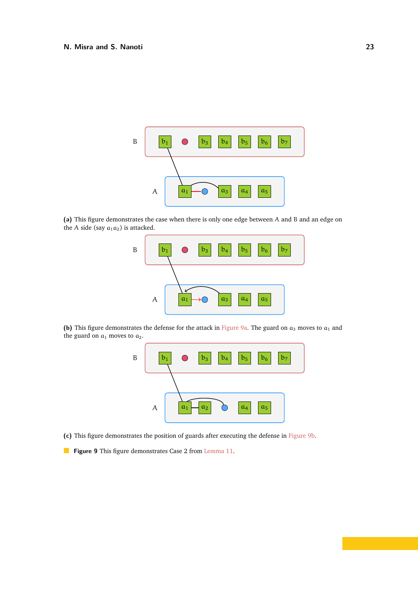<span id="page-22-0"></span>

**(a)** This figure demonstrates the case when there is only one edge between A and B and an edge on the A side (say  $a_1a_2$ ) is attacked.



(b) This figure demonstrates the defense for the attack in [Figure 9a.](#page-22-0) The guard on  $a_3$  moves to  $a_1$  and the guard on  $a_1$  moves to  $a_2$ .



**(c)** This figure demonstrates the position of guards after executing the defense in [Figure 9b.](#page-22-0)

**Figure 9** This figure demonstrates Case 2 from [Lemma 11.](#page-18-0)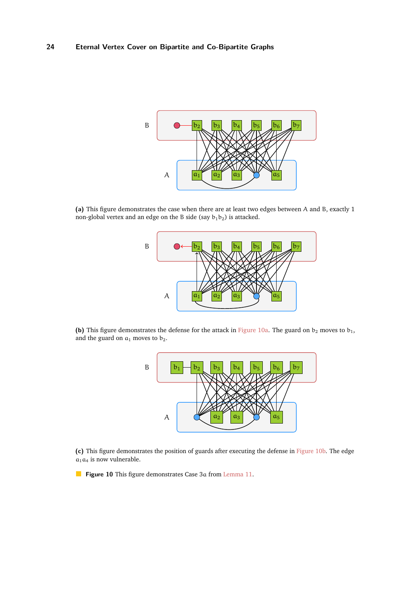<span id="page-23-0"></span>

**(a)** This figure demonstrates the case when there are at least two edges between A and B, exactly 1 non-global vertex and an edge on the B side (say  $b_1b_2$ ) is attacked.



(b) This figure demonstrates the defense for the attack in [Figure 10a.](#page-23-0) The guard on  $b_2$  moves to  $b_1$ , and the guard on  $a_1$  moves to  $b_2$ .



**(c)** This figure demonstrates the position of guards after executing the defense in [Figure 10b.](#page-23-0) The edge  $a_1a_4$  is now vulnerable.

**Figure 10** This figure demonstrates Case 3a from [Lemma 11.](#page-18-0)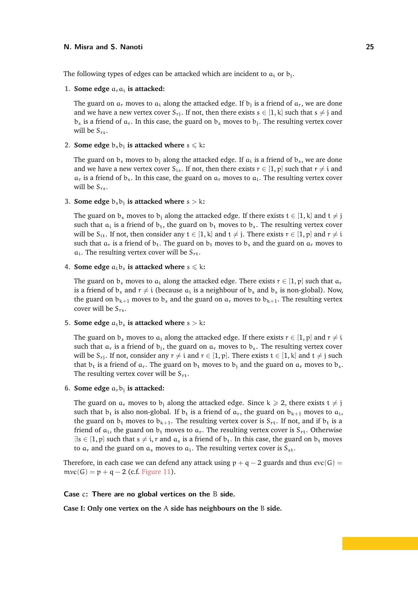The following types of edges can be attacked which are incident to  $a_i$  or  $b_i$ .

**1. Some edge**  $a_{r}a_{i}$  **is attacked:** 

The guard on  $a_r$  moves to  $a_i$  along the attacked edge. If  $b_i$  is a friend of  $a_r$ , we are done and we have a new vertex cover  $S_{ri}$ . If not, then there exists  $s \in [1, k]$  such that  $s \neq j$  and  $b_s$  is a friend of  $a_r$ . In this case, the guard on  $b_s$  moves to  $b_i$ . The resulting vertex cover will be  $S_{rs}$ .

**2. Some edge**  $b_s b_i$  **is attacked where**  $s \le k$ **:** 

The guard on  $b_s$  moves to  $b_i$  along the attacked edge. If  $a_i$  is a friend of  $b_s$ , we are done and we have a new vertex cover  $S_{is}$ . If not, then there exists  $r \in [1, p]$  such that  $r \neq i$  and  $a_r$  is a friend of  $b_s$ . In this case, the guard on  $a_r$  moves to  $a_i$ . The resulting vertex cover will be  $S_{rs}$ .

**3. Some edge**  $b_s b_i$  **is attacked where**  $s > k$ **:** 

The guard on  $b_s$  moves to  $b_i$  along the attacked edge. If there exists  $t \in [1, k]$  and  $t \neq j$ such that  $a_i$  is a friend of  $b_t$ , the guard on  $b_t$  moves to  $b_s$ . The resulting vertex cover will be  $S_{it}$ . If not, then consider any  $t \in [1, k]$  and  $t \neq j$ . There exists  $r \in [1, p]$  and  $r \neq i$ such that  $a_r$  is a friend of  $b_t$ . The guard on  $b_t$  moves to  $b_s$  and the guard on  $a_r$  moves to  $a_i$ . The resulting vertex cover will be  $S_{rt}$ .

**4. Some edge**  $a_i b_s$  **is attacked where**  $s \le k$ :

The guard on b<sub>s</sub> moves to  $a_i$  along the attacked edge. There exists  $r \in [1, p]$  such that  $a_r$ is a friend of  $b_s$  and  $r \neq i$  (because  $a_i$  is a neighbour of  $b_s$  and  $b_s$  is non-global). Now, the guard on  $b_{k+1}$  moves to  $b_s$  and the guard on  $a_r$  moves to  $b_{k+1}$ . The resulting vertex cover will be  $S_{rs}$ .

**5. Some edge**  $a_i b_s$  **is attacked where**  $s > k$ **:** 

The guard on  $b_s$  moves to  $a_i$  along the attacked edge. If there exists  $r \in [1, p]$  and  $r \neq i$ such that  $a_r$  is a friend of  $b_i$ , the guard on  $a_r$  moves to  $b_s$ . The resulting vertex cover will be  $S_{ri}$ . If not, consider any  $r \neq i$  and  $r \in [1, p]$ . There exists  $t \in [1, k]$  and  $t \neq j$  such that  $b_t$  is a friend of  $a_r$ . The guard on  $b_t$  moves to  $b_i$  and the guard on  $a_r$  moves to  $b_s$ . The resulting vertex cover will be  $S_{rt}$ .

**6. Some edge**  $a_r b_i$  **is attacked:** 

The guard on  $a_r$  moves to  $b_i$  along the attacked edge. Since  $k \ge 2$ , there exists  $t \ne j$ such that  $b_t$  is also non-global. If  $b_t$  is a friend of  $a_r$ , the guard on  $b_{k+1}$  moves to  $a_i$ , the guard on  $b_t$  moves to  $b_{k+1}$ . The resulting vertex cover is  $S_{rt}$ . If not, and if  $b_t$  is a friend of  $a_i$ , the guard on  $b_t$  moves to  $a_r$ . The resulting vertex cover is  $S_{rt}$ . Otherwise  $\exists s \in [1, p]$  such that  $s \neq i$ , r and  $a_s$  is a friend of  $b_t$ . In this case, the guard on  $b_t$  moves to  $a_r$  and the guard on  $a_s$  moves to  $a_i$ . The resulting vertex cover is  $S_{st}$ .

Therefore, in each case we can defend any attack using  $p + q - 2$  guards and thus  $evc(G) =$  $mvc(G) = p + q - 2$  (c.f. [Figure 11\)](#page-25-0).

#### **Case** c**: There are no global vertices on the** B **side.**

**Case I: Only one vertex on the** A **side has neighbours on the** B **side.**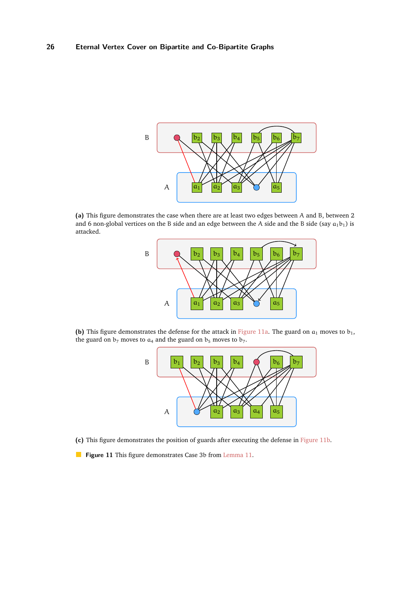<span id="page-25-0"></span>

**(a)** This figure demonstrates the case when there are at least two edges between A and B, between 2 and 6 non-global vertices on the B side and an edge between the A side and the B side (say  $a_1b_1$ ) is attacked.



(b) This figure demonstrates the defense for the attack in [Figure 11a.](#page-25-0) The guard on  $a_1$  moves to  $b_1$ , the guard on  $b_7$  moves to  $a_4$  and the guard on  $b_5$  moves to  $b_7$ .



**(c)** This figure demonstrates the position of guards after executing the defense in [Figure 11b.](#page-25-0)

**Figure 11** This figure demonstrates Case 3b from [Lemma 11.](#page-18-0)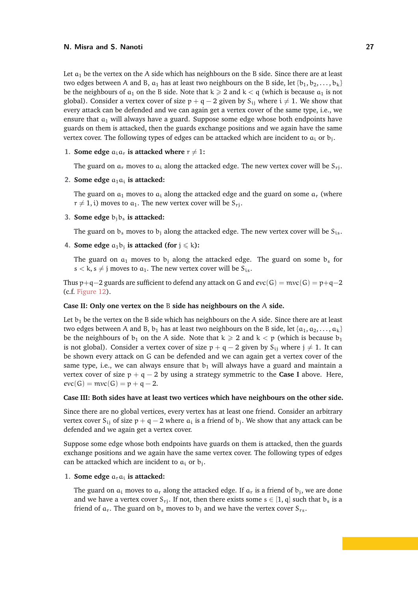Let  $a_1$  be the vertex on the A side which has neighbours on the B side. Since there are at least two edges between A and B,  $a_1$  has at least two neighbours on the B side, let  $\{b_1, b_2, \ldots, b_k\}$ be the neighbours of  $a_1$  on the B side. Note that  $k \ge 2$  and  $k < q$  (which is because  $a_1$  is not global). Consider a vertex cover of size  $p + q - 2$  given by  $S_{i,j}$  where  $i \neq 1$ . We show that every attack can be defended and we can again get a vertex cover of the same type, i.e., we ensure that  $a_1$  will always have a guard. Suppose some edge whose both endpoints have guards on them is attacked, then the guards exchange positions and we again have the same vertex cover. The following types of edges can be attacked which are incident to  $a_i$  or  $b_i$ .

**1. Some edge**  $a_i a_r$  **is attacked where**  $r \neq 1$ **:** 

The guard on  $a_r$  moves to  $a_i$  along the attacked edge. The new vertex cover will be  $S_{ri}$ .

2. **Some edge**  $a_1a_i$  **is attacked:** 

The guard on  $a_1$  moves to  $a_i$  along the attacked edge and the guard on some  $a_r$  (where  $r \neq 1$ , i) moves to  $a_1$ . The new vertex cover will be  $S_{rj}$ .

**3. Some edge** bjb<sup>s</sup> **is attacked:**

The guard on  $b_s$  moves to  $b_i$  along the attacked edge. The new vertex cover will be  $S_{is}$ .

**4. Some edge**  $a_1b_1$  **is attacked (for**  $j \le k$ ):

The guard on  $a_1$  moves to  $b_i$  along the attacked edge. The guard on some  $b_s$  for  $s < k$ ,  $s \neq j$  moves to  $a_1$ . The new vertex cover will be  $S_{is}$ .

Thus  $p+q-2$  guards are sufficient to defend any attack on G and  $evc(G) = mvc(G) = p+q-2$ (c.f. [Figure 12\)](#page-27-0).

## **Case II: Only one vertex on the** B **side has neighbours on the** A **side.**

Let  $b_1$  be the vertex on the B side which has neighbours on the A side. Since there are at least two edges between A and B,  $b_1$  has at least two neighbours on the B side, let { $a_1, a_2, \ldots, a_k$ } be the neighbours of  $b_1$  on the A side. Note that  $k \ge 2$  and  $k < p$  (which is because  $b_1$ is not global). Consider a vertex cover of size  $p + q - 2$  given by S<sub>ij</sub> where  $j \neq 1$ . It can be shown every attack on G can be defended and we can again get a vertex cover of the same type, i.e., we can always ensure that  $b_1$  will always have a guard and maintain a vertex cover of size  $p + q - 2$  by using a strategy symmetric to the **Case I** above. Here,  $evc(G) = mvc(G) = p + q - 2.$ 

#### **Case III: Both sides have at least two vertices which have neighbours on the other side.**

Since there are no global vertices, every vertex has at least one friend. Consider an arbitrary vertex cover S<sub>ij</sub> of size p + q - 2 where  $a_i$  is a friend of  $b_i$ . We show that any attack can be defended and we again get a vertex cover.

Suppose some edge whose both endpoints have guards on them is attacked, then the guards exchange positions and we again have the same vertex cover. The following types of edges can be attacked which are incident to  $a_i$  or  $b_i$ .

**1. Some edge**  $a<sub>r</sub>a<sub>i</sub>$  **is attacked:** 

The guard on  $a_i$  moves to  $a_r$  along the attacked edge. If  $a_r$  is a friend of  $b_i$ , we are done and we have a vertex cover  $S_{ri}$ . If not, then there exists some  $s \in [1, q]$  such that  $b_s$  is a friend of  $a_r$ . The guard on  $b_s$  moves to  $b_i$  and we have the vertex cover  $S_{rs}$ .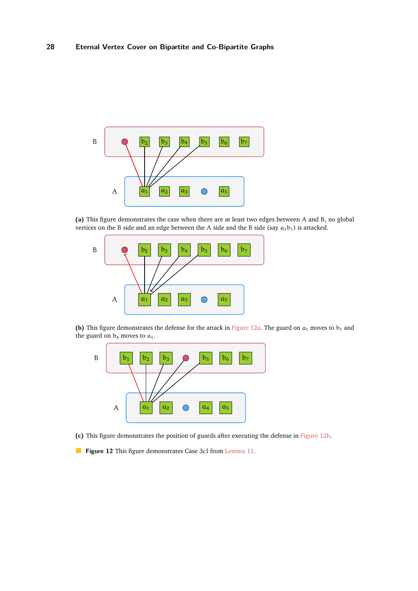<span id="page-27-0"></span>

**(a)** This figure demonstrates the case when there are at least two edges between A and B, no global vertices on the B side and an edge between the A side and the B side (say  $a_1b_1$ ) is attacked.



(b) This figure demonstrates the defense for the attack in [Figure 12a.](#page-27-0) The guard on  $a_1$  moves to  $b_1$  and the guard on  $b_4$  moves to  $a_1$ .



**(c)** This figure demonstrates the position of guards after executing the defense in [Figure 12b.](#page-27-0)

**Figure 12** This figure demonstrates Case 3cI from [Lemma 11.](#page-18-0)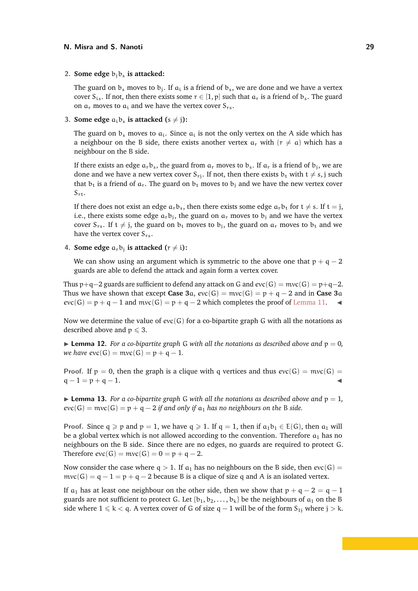#### **2. Some edge**  $b_i b_s$  **is attacked:**

The guard on  $b_s$  moves to  $b_j$ . If  $a_i$  is a friend of  $b_s$ , we are done and we have a vertex cover  $S_{iS}$ . If not, then there exists some  $r \in [1, p]$  such that  $a_r$  is a friend of  $b_S$ . The guard on  $a_r$  moves to  $a_i$  and we have the vertex cover  $S_{rs}$ .

#### **3. Some edge**  $a_i b_s$  **is attacked**  $(s \neq j)$ :

The guard on  $b_s$  moves to  $a_i$ . Since  $a_i$  is not the only vertex on the A side which has a neighbour on the B side, there exists another vertex  $a_r$  with  $(r \neq a)$  which has a neighbour on the B side.

If there exists an edge  $a_r b_s$ , the guard from  $a_r$  moves to  $b_s$ . If  $a_r$  is a friend of  $b_i$ , we are done and we have a new vertex cover  $S_{ri}$ . If not, then there exists  $b_t$  with  $t \neq s$ , j such that  $b_t$  is a friend of  $a_r$ . The guard on  $b_t$  moves to  $b_i$  and we have the new vertex cover  $S_{\text{rt}}$ .

If there does not exist an edge  $a_r b_s$ , then there exists some edge  $a_r b_t$  for  $t \neq s$ . If  $t = j$ , i.e., there exists some edge  $a_r b_j$ , the guard on  $a_r$  moves to  $b_j$  and we have the vertex cover  $S_{rs}$ . If  $t \neq j$ , the guard on  $b_t$  moves to  $b_j$ , the guard on  $a_r$  moves to  $b_t$  and we have the vertex cover  $S_{rs}$ .

## **4. Some edge**  $a_r b_i$  **is attacked**  $(r \neq i)$ :

We can show using an argument which is symmetric to the above one that  $p + q - 2$ guards are able to defend the attack and again form a vertex cover.

Thus  $p+q-2$  guards are sufficient to defend any attack on G and  $evc(G) = mvc(G) = p+q-2$ . Thus we have shown that except **Case 3**a,  $evc(G) = mvc(G) = p + q - 2$  and in **Case 3**a  $evc(G) = p + q - 1$  and  $mvc(G) = p + q - 2$  which completes the proof of [Lemma 11.](#page-18-0)  $\blacktriangleleft$ 

Now we determine the value of  $evc(G)$  for a co-bipartite graph G with all the notations as described above and  $p \le 3$ .

**Lemma 12.** *For a co-bipartite graph* G *with all the notations as described above and*  $p = 0$ *, we have*  $evc(G) = mvc(G) = p + q - 1$ .

**Proof.** If  $p = 0$ , then the graph is a clique with q vertices and thus  $evc(G) = mvc(G)$  $q - 1 = p + q - 1.$ 

**I Lemma 13.** *For a co-bipartite graph* G *with all the notations as described above and*  $p = 1$ *,*  $evc(G) = mvc(G) = p + q - 2$  *if and only if*  $a_1$  *has no neighbours on the* B *side*.

**Proof.** Since  $q \geq p$  and  $p = 1$ , we have  $q \geq 1$ . If  $q = 1$ , then if  $a_1b_1 \in E(G)$ , then  $a_1$  will be a global vertex which is not allowed according to the convention. Therefore  $a_1$  has no neighbours on the B side. Since there are no edges, no guards are required to protect G. Therefore  $evc(G) = mvc(G) = 0 = p + q - 2$ .

Now consider the case where  $q > 1$ . If  $a_1$  has no neighbours on the B side, then  $evc(G)$  =  $mvc(G) = q - 1 = p + q - 2$  because B is a clique of size q and A is an isolated vertex.

If  $a_1$  has at least one neighbour on the other side, then we show that  $p + q - 2 = q - 1$ guards are not sufficient to protect G. Let  $\{b_1, b_2, \ldots, b_k\}$  be the neighbours of  $a_1$  on the B side where  $1 \le k < q$ . A vertex cover of G of size  $q - 1$  will be of the form  $S_{1j}$  where j > k.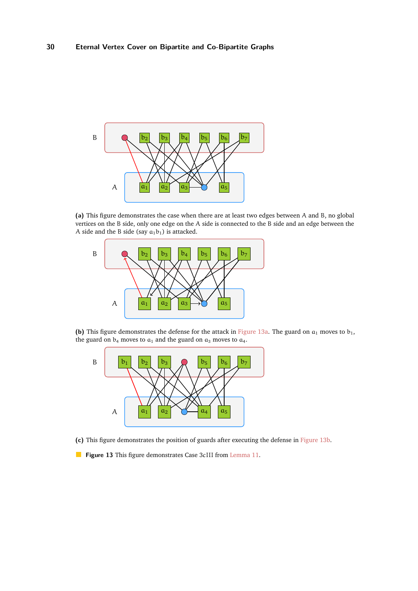<span id="page-29-0"></span>

**(a)** This figure demonstrates the case when there are at least two edges between A and B, no global vertices on the B side, only one edge on the A side is connected to the B side and an edge between the A side and the B side (say  $a_1b_1$ ) is attacked.



(b) This figure demonstrates the defense for the attack in [Figure 13a.](#page-29-0) The guard on  $a_1$  moves to  $b_1$ , the guard on  $b_4$  moves to  $a_1$  and the guard on  $a_3$  moves to  $a_4$ .



**(c)** This figure demonstrates the position of guards after executing the defense in [Figure 13b.](#page-29-0)

**Figure 13** This figure demonstrates Case 3cIII from [Lemma 11.](#page-18-0)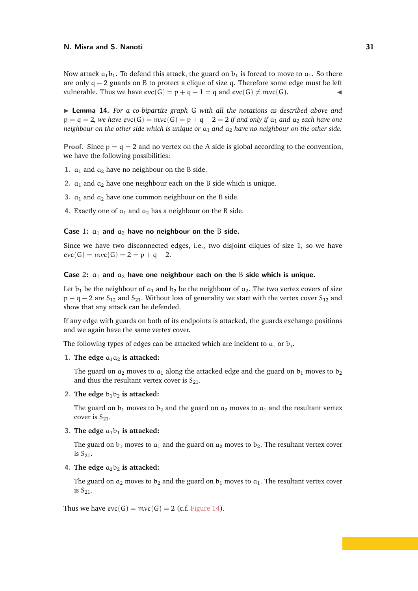Now attack  $a_1b_1$ . To defend this attack, the guard on  $b_1$  is forced to move to  $a_1$ . So there are only  $q - 2$  guards on B to protect a clique of size q. Therefore some edge must be left vulnerable. Thus we have  $evc(G) = p + q - 1 = q$  and  $evc(G) \neq mvc(G)$ .

<span id="page-30-0"></span>► **Lemma 14.** *For a co-bipartite graph* G *with all the notations as described above and*  $p = q = 2$ , we have  $\text{evc}(G) = \text{mvc}(G) = p + q - 2 = 2$  *if and only if*  $a_1$  *and*  $a_2$  *each have one neighbour on the other side which is unique or*  $a_1$  *and*  $a_2$  *have no neighbour on the other side.* 

**Proof.** Since  $p = q = 2$  and no vertex on the A side is global according to the convention, we have the following possibilities:

- 1.  $a_1$  and  $a_2$  have no neighbour on the B side.
- **2.**  $a_1$  and  $a_2$  have one neighbour each on the B side which is unique.
- **3.**  $a_1$  and  $a_2$  have one common neighbour on the B side.
- **4.** Exactly one of  $a_1$  and  $a_2$  has a neighbour on the B side.

#### Case  $1: a_1$  and  $a_2$  have no neighbour on the B side.

Since we have two disconnected edges, i.e., two disjoint cliques of size 1, so we have  $evc(G) = mvc(G) = 2 = p + q - 2.$ 

#### **Case** 2:  $a_1$  and  $a_2$  have one neighbour each on the B side which is unique.

Let  $b_1$  be the neighbour of  $a_1$  and  $b_2$  be the neighbour of  $a_2$ . The two vertex covers of size  $p + q - 2$  are S<sub>12</sub> and S<sub>21</sub>. Without loss of generality we start with the vertex cover S<sub>12</sub> and show that any attack can be defended.

If any edge with guards on both of its endpoints is attacked, the guards exchange positions and we again have the same vertex cover.

The following types of edges can be attacked which are incident to  $a_i$  or  $b_i$ .

### **1.** The edge  $a_1a_2$  is attacked:

The guard on  $a_2$  moves to  $a_1$  along the attacked edge and the guard on  $b_1$  moves to  $b_2$ and thus the resultant vertex cover is  $S_{21}$ .

## **2. The edge** b1b<sup>2</sup> **is attacked:**

The guard on  $b_1$  moves to  $b_2$  and the guard on  $a_2$  moves to  $a_1$  and the resultant vertex cover is  $S_{21}$ .

## **3.** The edge  $a_1b_1$  is attacked:

The guard on  $b_1$  moves to  $a_1$  and the guard on  $a_2$  moves to  $b_2$ . The resultant vertex cover is  $S_{21}$ .

## 4. The edge  $a_2b_2$  is attacked:

The guard on  $a_2$  moves to  $b_2$  and the guard on  $b_1$  moves to  $a_1$ . The resultant vertex cover is  $S_{21}$ .

Thus we have  $evc(G) = mvc(G) = 2$  (c.f. [Figure 14\)](#page-31-0).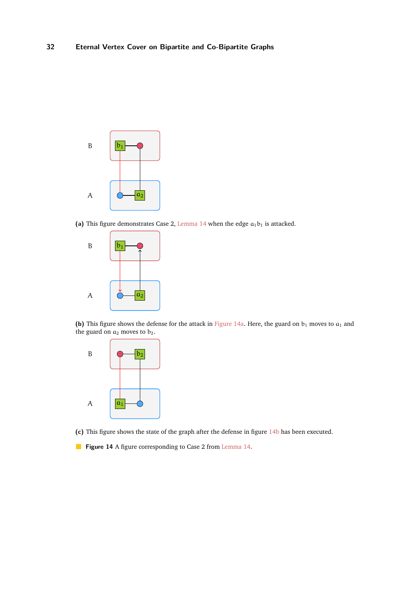<span id="page-31-0"></span>

(a) This figure demonstrates Case 2, Lemma  $14$  when the edge  $a_1b_1$  is attacked.



(b) This figure shows the defense for the attack in [Figure 14a.](#page-31-0) Here, the guard on  $b_1$  moves to  $a_1$  and the guard on  $a_2$  moves to  $b_2$ .



**(c)** This figure shows the state of the graph after the defense in figure [14b](#page-31-0) has been executed.

**Figure 14** A figure corresponding to Case 2 from [Lemma 14.](#page-30-0)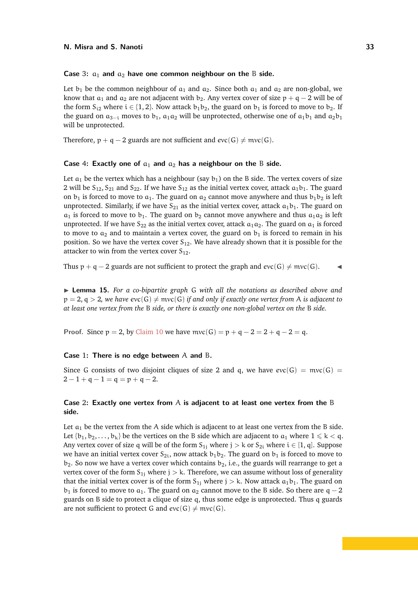#### **Case** 3:  $a_1$  and  $a_2$  have one common neighbour on the B side.

Let  $b_1$  be the common neighbour of  $a_1$  and  $a_2$ . Since both  $a_1$  and  $a_2$  are non-global, we know that  $a_1$  and  $a_2$  are not adjacent with  $b_2$ . Any vertex cover of size  $p + q - 2$  will be of the form  $S_{i2}$  where  $i \in \{1, 2\}$ . Now attack  $b_1b_2$ , the guard on  $b_1$  is forced to move to  $b_2$ . If the guard on  $a_{3-i}$  moves to  $b_1$ ,  $a_1a_2$  will be unprotected, otherwise one of  $a_1b_1$  and  $a_2b_1$ will be unprotected.

Therefore,  $p + q - 2$  guards are not sufficient and  $evc(G) \neq mvc(G)$ .

#### Case 4: Exactly one of  $a_1$  and  $a_2$  has a neighbour on the B side.

Let  $a_1$  be the vertex which has a neighbour (say  $b_1$ ) on the B side. The vertex covers of size 2 will be  $S_{12}$ ,  $S_{21}$  and  $S_{22}$ . If we have  $S_{12}$  as the initial vertex cover, attack  $a_1b_1$ . The guard on  $b_1$  is forced to move to  $a_1$ . The guard on  $a_2$  cannot move anywhere and thus  $b_1b_2$  is left unprotected. Similarly, if we have  $S_{21}$  as the initial vertex cover, attack  $a_1b_1$ . The guard on  $a_1$  is forced to move to  $b_1$ . The guard on  $b_2$  cannot move anywhere and thus  $a_1a_2$  is left unprotected. If we have  $S_{22}$  as the initial vertex cover, attack  $a_1a_2$ . The guard on  $a_1$  is forced to move to  $a_2$  and to maintain a vertex cover, the guard on  $b_1$  is forced to remain in his position. So we have the vertex cover  $S_{12}$ . We have already shown that it is possible for the attacker to win from the vertex cover  $S_{12}$ .

Thus p + q − 2 guards are not sufficient to protect the graph and  $evc(G) \neq mvc(G)$ .

<span id="page-32-0"></span>I **Lemma 15.** *For a co-bipartite graph* G *with all the notations as described above and*  $p = 2, q > 2$ , we have  $evc(G) \neq mvc(G)$  *if and only if exactly one vertex from* A *is adjacent to at least one vertex from the* B *side, or there is exactly one non-global vertex on the* B *side.*

**Proof.** Since  $p = 2$ , by [Claim 10](#page-17-2) we have  $mvc(G) = p + q - 2 = 2 + q - 2 = q$ .

#### **Case** 1**: There is no edge between** A **and** B**.**

Since G consists of two disjoint cliques of size 2 and q, we have  $evc(G) = mvc(G)$  $2-1+q-1=q=p+q-2.$ 

## **Case** 2**: Exactly one vertex from** A **is adjacent to at least one vertex from the** B **side.**

Let  $a_1$  be the vertex from the A side which is adjacent to at least one vertex from the B side. Let  $\{b_1, b_2, \ldots, b_k\}$  be the vertices on the B side which are adjacent to  $a_1$  where  $1 \leq k < q$ . Any vertex cover of size q will be of the form  $S_{1i}$  where  $j > k$  or  $S_{2i}$  where  $i \in [1, q]$ . Suppose we have an initial vertex cover  $S_{2i}$ , now attack  $b_1b_2$ . The guard on  $b_1$  is forced to move to  $b_2$ . So now we have a vertex cover which contains  $b_2$ , i.e., the guards will rearrange to get a vertex cover of the form  $S_{1i}$  where  $j > k$ . Therefore, we can assume without loss of generality that the initial vertex cover is of the form  $S_{1i}$  where  $j > k$ . Now attack  $a_1b_1$ . The guard on  $b_1$  is forced to move to  $a_1$ . The guard on  $a_2$  cannot move to the B side. So there are  $q - 2$ guards on B side to protect a clique of size q, thus some edge is unprotected. Thus q guards are not sufficient to protect G and  $evc(G) \neq mvc(G)$ .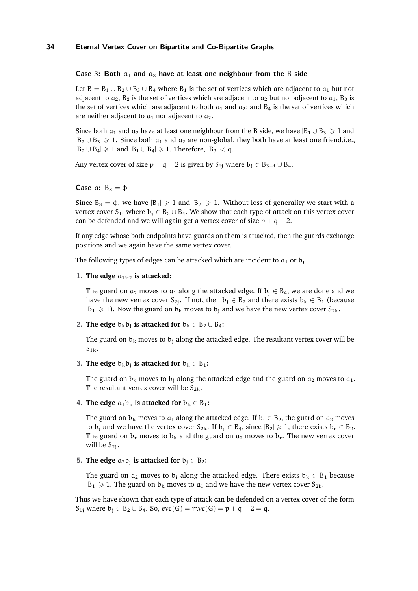#### **Case** 3: Both  $a_1$  and  $a_2$  have at least one neighbour from the B side

Let B =  $B_1 \cup B_2 \cup B_3 \cup B_4$  where  $B_1$  is the set of vertices which are adjacent to  $a_1$  but not adjacent to  $a_2$ ,  $B_2$  is the set of vertices which are adjacent to  $a_2$  but not adjacent to  $a_1$ ,  $B_3$  is the set of vertices which are adjacent to both  $a_1$  and  $a_2$ ; and  $B_4$  is the set of vertices which are neither adjacent to  $a_1$  nor adjacent to  $a_2$ .

Since both  $a_1$  and  $a_2$  have at least one neighbour from the B side, we have  $|B_1 \cup B_3| \geq 1$  and  $|B_2 \cup B_3| \ge 1$ . Since both  $a_1$  and  $a_2$  are non-global, they both have at least one friend,i.e.,  $|B_2 \cup B_4| \geq 1$  and  $|B_1 \cup B_4| \geq 1$ . Therefore,  $|B_3| < q$ .

Any vertex cover of size  $p + q - 2$  is given by  $S_{i,j}$  where  $b_j \in B_{3-i} \cup B_4$ .

## **Case** a:  $B_3 = \phi$

Since  $B_3 = \phi$ , we have  $|B_1| \geq 1$  and  $|B_2| \geq 1$ . Without loss of generality we start with a vertex cover S<sub>1j</sub> where  $b_i \in B_2 \cup B_4$ . We show that each type of attack on this vertex cover can be defended and we will again get a vertex cover of size  $p + q - 2$ .

If any edge whose both endpoints have guards on them is attacked, then the guards exchange positions and we again have the same vertex cover.

The following types of edges can be attacked which are incident to  $a_1$  or  $b_i$ .

**1.** The edge  $a_1a_2$  is attacked:

The guard on  $a_2$  moves to  $a_1$  along the attacked edge. If  $b_i \in B_4$ , we are done and we have the new vertex cover  $S_{2j}$ . If not, then  $b_j \in B_2$  and there exists  $b_k \in B_1$  (because  $|B_1| \ge 1$ ). Now the guard on  $b_k$  moves to  $b_j$  and we have the new vertex cover  $S_{2k}$ .

**2. The edge**  $b_k b_j$  **is attacked for**  $b_k \in B_2 \cup B_4$ :

The guard on  $b_k$  moves to  $b_i$  along the attacked edge. The resultant vertex cover will be  $S_{1k}$ .

**3. The edge**  $b_k b_i$  **is attacked for**  $b_k \in B_1$ :

The guard on  $b_k$  moves to  $b_i$  along the attacked edge and the guard on  $a_2$  moves to  $a_1$ . The resultant vertex cover will be  $S_{2k}$ .

**4. The edge**  $a_1b_k$  **is attacked for**  $b_k \in B_1$ :

The guard on  $b_k$  moves to  $a_1$  along the attacked edge. If  $b_j \in B_2$ , the guard on  $a_2$  moves to b<sub>i</sub> and we have the vertex cover  $S_{2k}$ . If  $b_i \in B_4$ , since  $|B_2| \geq 1$ , there exists  $b_r \in B_2$ . The guard on  $b_r$  moves to  $b_k$  and the guard on  $a_2$  moves to  $b_r$ . The new vertex cover will be  $S_{2i}$ .

**5. The edge**  $a_2b_1$  **is attacked for**  $b_1 \in B_2$ :

The guard on  $a_2$  moves to  $b_i$  along the attacked edge. There exists  $b_k \in B_1$  because  $|B_1| \geq 1$ . The guard on  $b_k$  moves to  $a_1$  and we have the new vertex cover  $S_{2k}$ .

Thus we have shown that each type of attack can be defended on a vertex cover of the form S<sub>1j</sub> where  $b_1 \in B_2 \cup B_4$ . So,  $evc(G) = mvc(G) = p + q - 2 = q$ .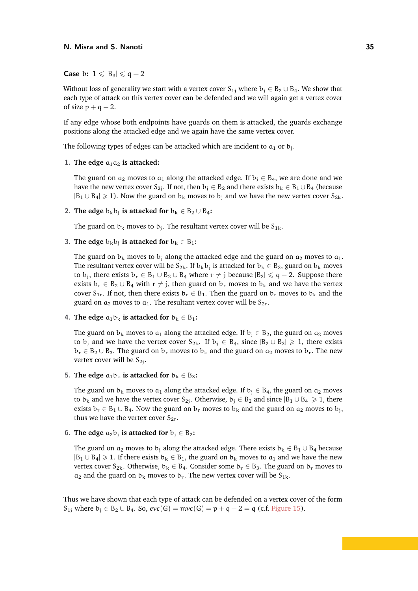**Case** b:  $1 \leq |B_3| \leq q-2$ 

Without loss of generality we start with a vertex cover  $S_{1i}$  where  $b_i \in B_2 \cup B_4$ . We show that each type of attack on this vertex cover can be defended and we will again get a vertex cover of size  $p + q - 2$ .

If any edge whose both endpoints have guards on them is attacked, the guards exchange positions along the attacked edge and we again have the same vertex cover.

The following types of edges can be attacked which are incident to  $a_1$  or  $b_i$ .

**1.** The edge  $a_1a_2$  is attacked:

The guard on  $a_2$  moves to  $a_1$  along the attacked edge. If  $b_i \in B_4$ , we are done and we have the new vertex cover  $S_{2i}$ . If not, then  $b_i \in B_2$  and there exists  $b_k \in B_1 \cup B_4$  (because  $|B_1 \cup B_4| \ge 1$ ). Now the guard on  $b_k$  moves to  $b_i$  and we have the new vertex cover  $S_{2k}$ .

**2. The edge**  $b_k b_j$  **is attacked for**  $b_k \in B_2 \cup B_4$ :

The guard on  $b_k$  moves to  $b_i$ . The resultant vertex cover will be  $S_{1k}$ .

**3. The edge**  $b_k b_i$  **is attacked for**  $b_k \in B_1$ :

The guard on  $b_k$  moves to  $b_i$  along the attacked edge and the guard on  $a_2$  moves to  $a_1$ . The resultant vertex cover will be  $S_{2k}$ . If  $b_k b_j$  is attacked for  $b_k \in B_3$ , guard on  $b_k$  moves to b<sub>i</sub>, there exists b<sub>r</sub> ∈ B<sub>1</sub> ∪ B<sub>2</sub> ∪ B<sub>4</sub> where  $r \neq j$  because  $|B_3| \leq q-2$ . Suppose there exists  $b_r \in B_2 \cup B_4$  with  $r \neq j$ , then guard on  $b_r$  moves to  $b_k$  and we have the vertex cover  $S_{1r}$ . If not, then there exists  $b_r \in B_1$ . Then the guard on  $b_r$  moves to  $b_k$  and the guard on  $a_2$  moves to  $a_1$ . The resultant vertex cover will be  $S_{2r}$ .

**4. The edge**  $a_1b_k$  **is attacked for**  $b_k \in B_1$ :

The guard on  $b_k$  moves to  $a_1$  along the attacked edge. If  $b_i \in B_2$ , the guard on  $a_2$  moves to b<sub>i</sub> and we have the vertex cover  $S_{2k}$ . If  $b_i \in B_4$ , since  $|B_2 \cup B_3| \geq 1$ , there exists  $b_r \in B_2 \cup B_3$ . The guard on  $b_r$  moves to  $b_k$  and the guard on  $a_2$  moves to  $b_r$ . The new vertex cover will be  $S_{2i}$ .

**5. The edge**  $a_1b_k$  **is attacked for**  $b_k \in B_3$ :

The guard on  $b_k$  moves to  $a_1$  along the attacked edge. If  $b_i \in B_4$ , the guard on  $a_2$  moves to  $b_k$  and we have the vertex cover S<sub>2j</sub>. Otherwise,  $b_j \in B_2$  and since  $|B_1 \cup B_4| \geq 1$ , there exists  $b_r \in B_1 \cup B_4$ . Now the guard on  $b_r$  moves to  $b_k$  and the guard on  $a_2$  moves to  $b_j$ , thus we have the vertex cover  $S_{2r}$ .

**6. The edge**  $a_2b_j$  **is attacked for**  $b_j \in B_2$ :

The guard on  $a_2$  moves to  $b_j$  along the attacked edge. There exists  $b_k \in B_1 \cup B_4$  because  $|B_1 \cup B_4| \geq 1$ . If there exists  $b_k \in B_1$ , the guard on  $b_k$  moves to  $a_1$  and we have the new vertex cover  $S_{2k}$ . Otherwise,  $b_k \in B_4$ . Consider some  $b_r \in B_3$ . The guard on  $b_r$  moves to  $a_2$  and the guard on  $b_k$  moves to  $b_r$ . The new vertex cover will be  $S_{1k}$ .

Thus we have shown that each type of attack can be defended on a vertex cover of the form S<sub>1j</sub> where  $b_1$  ∈ B<sub>2</sub> ∪ B<sub>4</sub>. So, evc(G) = mvc(G) = p + q − 2 = q (c.f. [Figure 15\)](#page-35-0).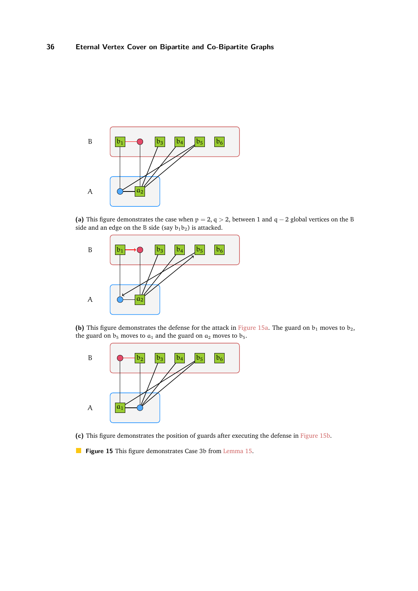<span id="page-35-0"></span>

(a) This figure demonstrates the case when  $p = 2$ ,  $q > 2$ , between 1 and  $q - 2$  global vertices on the B side and an edge on the B side (say  $b_1b_2$ ) is attacked.



(b) This figure demonstrates the defense for the attack in [Figure 15a.](#page-35-0) The guard on  $b_1$  moves to  $b_2$ , the guard on  $b_5$  moves to  $a_1$  and the guard on  $a_2$  moves to  $b_5$ .



**(c)** This figure demonstrates the position of guards after executing the defense in [Figure 15b.](#page-35-0)

**Figure 15** This figure demonstrates Case 3b from [Lemma 15.](#page-32-0)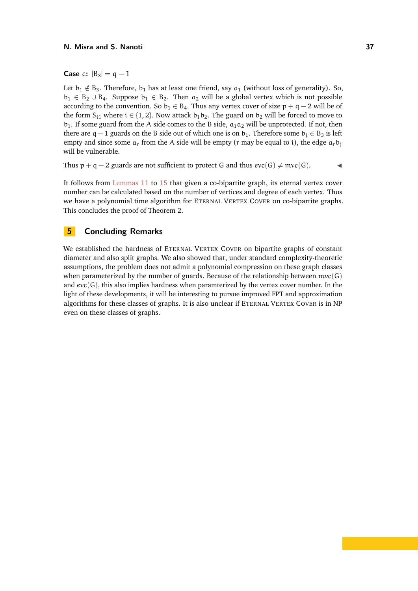**Case** c:  $|B_3| = q - 1$ 

Let  $b_1 \notin B_3$ . Therefore,  $b_1$  has at least one friend, say  $a_1$  (without loss of generality). So,  $b_1 \in B_2 \cup B_4$ . Suppose  $b_1 \in B_2$ . Then  $a_2$  will be a global vertex which is not possible according to the convention. So  $b_1 \in B_4$ . Thus any vertex cover of size  $p + q - 2$  will be of the form  $S_{i1}$  where  $i \in \{1, 2\}$ . Now attack  $b_1b_2$ . The guard on  $b_2$  will be forced to move to  $b_1$ . If some guard from the A side comes to the B side,  $a_1a_2$  will be unprotected. If not, then there are q − 1 guards on the B side out of which one is on  $b_1$ . Therefore some  $b_i \in B_3$  is left empty and since some  $a_r$  from the A side will be empty (r may be equal to i), the edge  $a_r b_i$ will be vulnerable.

Thus p + q − 2 guards are not sufficient to protect G and thus  $ev(G) \neq mvc(G)$ .

It follows from [Lemmas 11](#page-18-0) to [15](#page-32-0) that given a co-bipartite graph, its eternal vertex cover number can be calculated based on the number of vertices and degree of each vertex. Thus we have a polynomial time algorithm for ETERNAL VERTEX COVER on co-bipartite graphs. This concludes the proof of Theorem 2.

## <span id="page-36-0"></span>**5 Concluding Remarks**

We established the hardness of ETERNAL VERTEX COVER on bipartite graphs of constant diameter and also split graphs. We also showed that, under standard complexity-theoretic assumptions, the problem does not admit a polynomial compression on these graph classes when parameterized by the number of guards. Because of the relationship between  $\text{mvc}(G)$ and  $evc(G)$ , this also implies hardness when paramterized by the vertex cover number. In the light of these developments, it will be interesting to pursue improved FPT and approximation algorithms for these classes of graphs. It is also unclear if ETERNAL VERTEX COVER is in NP even on these classes of graphs.